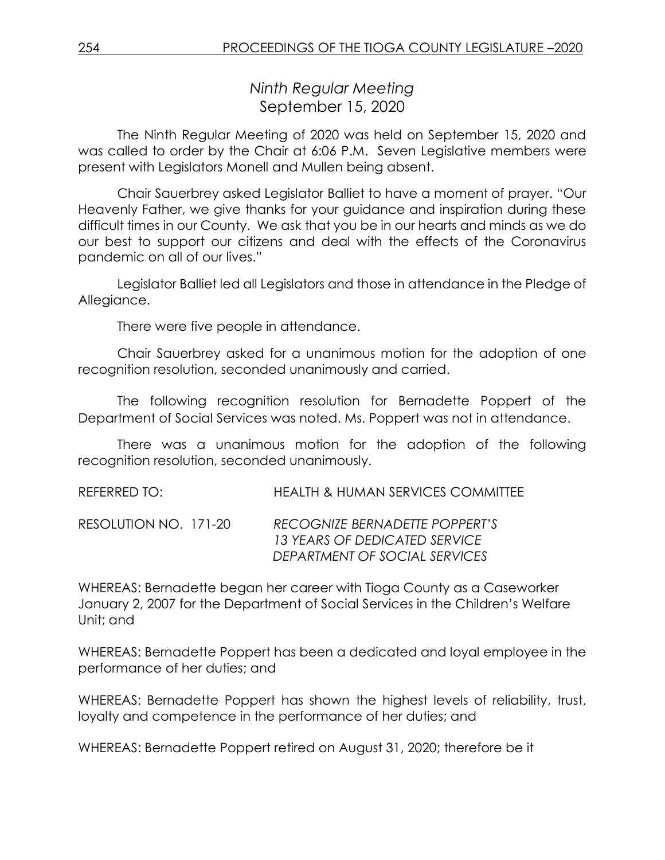*Ninth Regular Meeting* September 15, 2020

The Ninth Regular Meeting of 2020 was held on September 15, 2020 and was called to order by the Chair at 6:06 P.M. Seven Legislative members were present with Legislators Monell and Mullen being absent.

Chair Sauerbrey asked Legislator Balliet to have a moment of prayer. "Our Heavenly Father, we give thanks for your guidance and inspiration during these difficult times in our County. We ask that you be in our hearts and minds as we do our best to support our citizens and deal with the effects of the Coronavirus pandemic on all of our lives."

Legislator Balliet led all Legislators and those in attendance in the Pledge of Allegiance.

There were five people in attendance.

Chair Sauerbrey asked for a unanimous motion for the adoption of one recognition resolution, seconded unanimously and carried.

The following recognition resolution for Bernadette Poppert of the Department of Social Services was noted. Ms. Poppert was not in attendance.

There was a unanimous motion for the adoption of the following recognition resolution, seconded unanimously.

REFERRED TO: HEALTH & HUMAN SERVICES COMMITTEE

RESOLUTION NO. 171-20 *RECOGNIZE BERNADETTE POPPERT'S 13 YEARS OF DEDICATED SERVICE DEPARTMENT OF SOCIAL SERVICES*

WHEREAS: Bernadette began her career with Tioga County as a Caseworker January 2, 2007 for the Department of Social Services in the Children's Welfare Unit; and

WHEREAS: Bernadette Poppert has been a dedicated and loyal employee in the performance of her duties; and

WHEREAS: Bernadette Poppert has shown the highest levels of reliability, trust, loyalty and competence in the performance of her duties; and

WHEREAS: Bernadette Poppert retired on August 31, 2020; therefore be it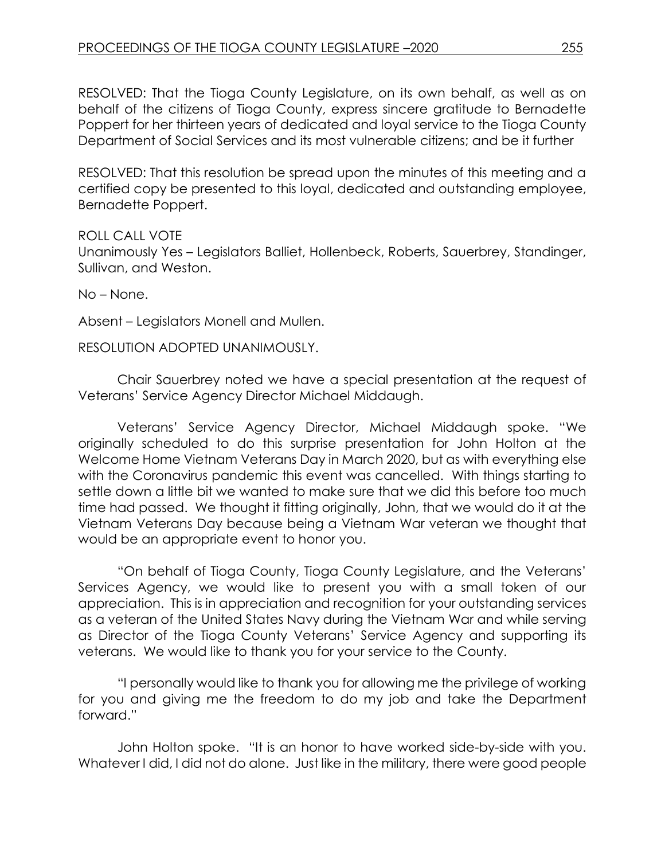RESOLVED: That the Tioga County Legislature, on its own behalf, as well as on behalf of the citizens of Tioga County, express sincere gratitude to Bernadette Poppert for her thirteen years of dedicated and loyal service to the Tioga County Department of Social Services and its most vulnerable citizens; and be it further

RESOLVED: That this resolution be spread upon the minutes of this meeting and a certified copy be presented to this loyal, dedicated and outstanding employee, Bernadette Poppert.

ROLL CALL VOTE Unanimously Yes – Legislators Balliet, Hollenbeck, Roberts, Sauerbrey, Standinger, Sullivan, and Weston.

No – None.

Absent – Legislators Monell and Mullen.

RESOLUTION ADOPTED UNANIMOUSLY.

Chair Sauerbrey noted we have a special presentation at the request of Veterans' Service Agency Director Michael Middaugh.

Veterans' Service Agency Director, Michael Middaugh spoke. "We originally scheduled to do this surprise presentation for John Holton at the Welcome Home Vietnam Veterans Day in March 2020, but as with everything else with the Coronavirus pandemic this event was cancelled. With things starting to settle down a little bit we wanted to make sure that we did this before too much time had passed. We thought it fitting originally, John, that we would do it at the Vietnam Veterans Day because being a Vietnam War veteran we thought that would be an appropriate event to honor you.

"On behalf of Tioga County, Tioga County Legislature, and the Veterans' Services Agency, we would like to present you with a small token of our appreciation. This is in appreciation and recognition for your outstanding services as a veteran of the United States Navy during the Vietnam War and while serving as Director of the Tioga County Veterans' Service Agency and supporting its veterans. We would like to thank you for your service to the County.

"I personally would like to thank you for allowing me the privilege of working for you and giving me the freedom to do my job and take the Department forward."

John Holton spoke. "It is an honor to have worked side-by-side with you. Whatever I did, I did not do alone. Just like in the military, there were good people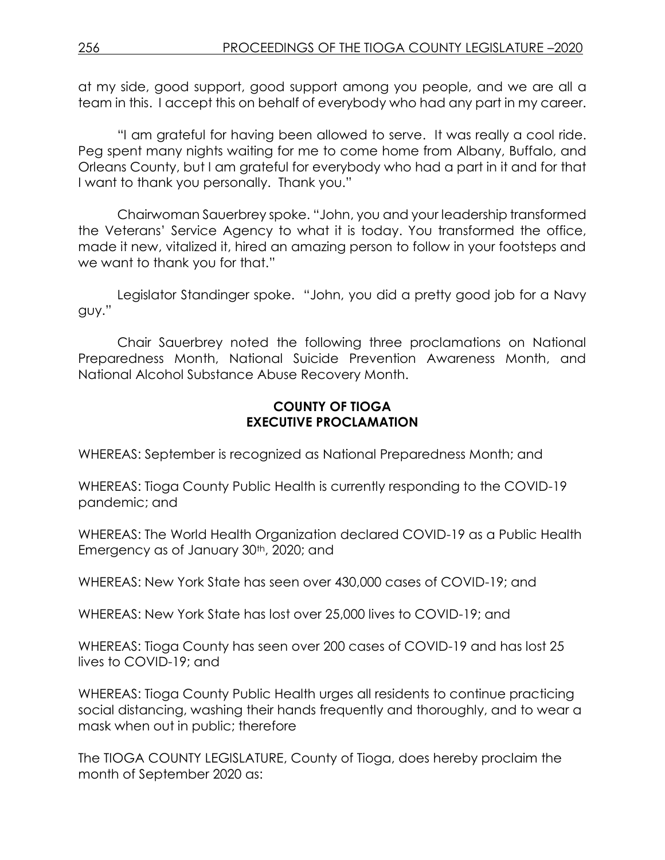at my side, good support, good support among you people, and we are all a team in this. I accept this on behalf of everybody who had any part in my career.

"I am grateful for having been allowed to serve. It was really a cool ride. Peg spent many nights waiting for me to come home from Albany, Buffalo, and Orleans County, but I am grateful for everybody who had a part in it and for that I want to thank you personally. Thank you."

Chairwoman Sauerbrey spoke. "John, you and your leadership transformed the Veterans' Service Agency to what it is today. You transformed the office, made it new, vitalized it, hired an amazing person to follow in your footsteps and we want to thank you for that."

Legislator Standinger spoke. "John, you did a pretty good job for a Navy guy."

Chair Sauerbrey noted the following three proclamations on National Preparedness Month, National Suicide Prevention Awareness Month, and National Alcohol Substance Abuse Recovery Month.

#### **COUNTY OF TIOGA EXECUTIVE PROCLAMATION**

WHEREAS: September is recognized as National Preparedness Month; and

WHEREAS: Tioga County Public Health is currently responding to the COVID-19 pandemic; and

WHEREAS: The World Health Organization declared COVID-19 as a Public Health Emergency as of January 30<sup>th</sup>, 2020; and

WHEREAS: New York State has seen over 430,000 cases of COVID-19; and

WHEREAS: New York State has lost over 25,000 lives to COVID-19; and

WHEREAS: Tioga County has seen over 200 cases of COVID-19 and has lost 25 lives to COVID-19; and

WHEREAS: Tioga County Public Health urges all residents to continue practicing social distancing, washing their hands frequently and thoroughly, and to wear a mask when out in public; therefore

The TIOGA COUNTY LEGISLATURE, County of Tioga, does hereby proclaim the month of September 2020 as: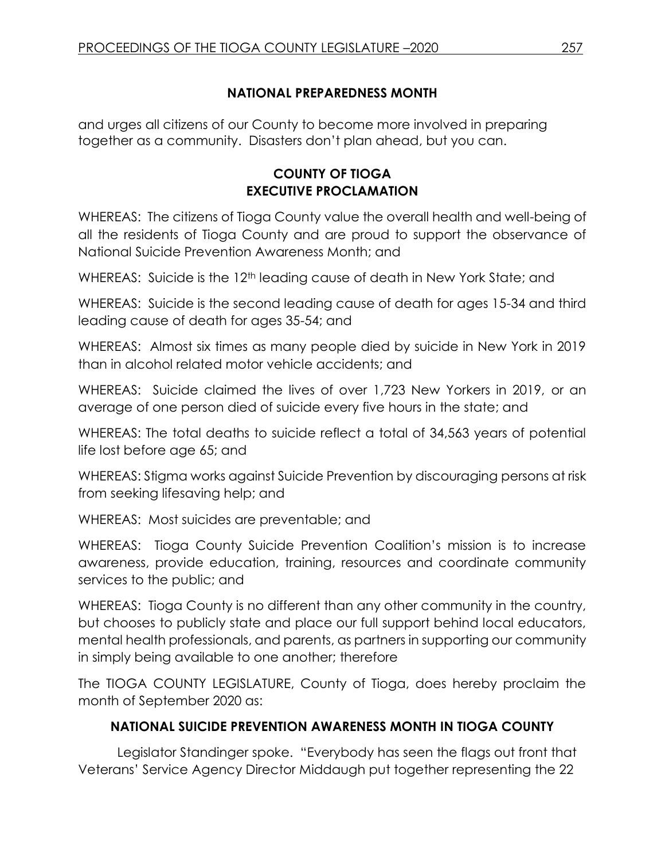### **NATIONAL PREPAREDNESS MONTH**

and urges all citizens of our County to become more involved in preparing together as a community. Disasters don't plan ahead, but you can.

# **COUNTY OF TIOGA EXECUTIVE PROCLAMATION**

WHEREAS: The citizens of Tioga County value the overall health and well-being of all the residents of Tioga County and are proud to support the observance of National Suicide Prevention Awareness Month; and

WHEREAS: Suicide is the 12<sup>th</sup> leading cause of death in New York State; and

WHEREAS: Suicide is the second leading cause of death for ages 15-34 and third leading cause of death for ages 35-54; and

WHEREAS: Almost six times as many people died by suicide in New York in 2019 than in alcohol related motor vehicle accidents; and

WHEREAS: Suicide claimed the lives of over 1,723 New Yorkers in 2019, or an average of one person died of suicide every five hours in the state; and

WHEREAS: The total deaths to suicide reflect a total of 34,563 years of potential life lost before age 65; and

WHEREAS: Stigma works against Suicide Prevention by discouraging persons at risk from seeking lifesaving help; and

WHEREAS: Most suicides are preventable; and

WHEREAS: Tioga County Suicide Prevention Coalition's mission is to increase awareness, provide education, training, resources and coordinate community services to the public; and

WHEREAS: Tioga County is no different than any other community in the country, but chooses to publicly state and place our full support behind local educators, mental health professionals, and parents, as partners in supporting our community in simply being available to one another; therefore

The TIOGA COUNTY LEGISLATURE, County of Tioga, does hereby proclaim the month of September 2020 as:

# **NATIONAL SUICIDE PREVENTION AWARENESS MONTH IN TIOGA COUNTY**

Legislator Standinger spoke. "Everybody has seen the flags out front that Veterans' Service Agency Director Middaugh put together representing the 22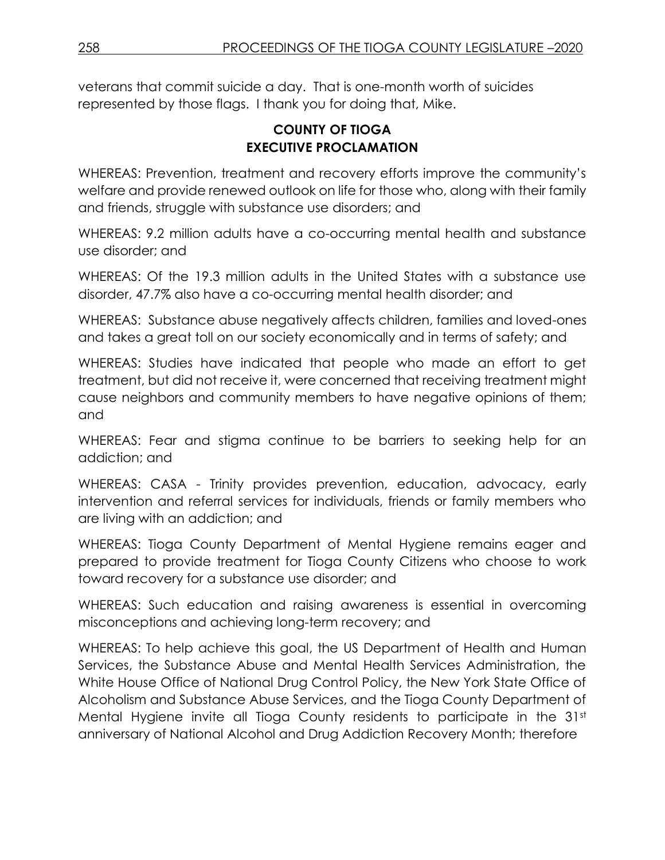veterans that commit suicide a day. That is one-month worth of suicides represented by those flags. I thank you for doing that, Mike.

# **COUNTY OF TIOGA EXECUTIVE PROCLAMATION**

WHEREAS: Prevention, treatment and recovery efforts improve the community's welfare and provide renewed outlook on life for those who, along with their family and friends, struggle with substance use disorders; and

WHEREAS: 9.2 million adults have a co-occurring mental health and substance use disorder; and

WHEREAS: Of the 19.3 million adults in the United States with a substance use disorder, 47.7% also have a co-occurring mental health disorder; and

WHEREAS: Substance abuse negatively affects children, families and loved-ones and takes a great toll on our society economically and in terms of safety; and

WHEREAS: Studies have indicated that people who made an effort to get treatment, but did not receive it, were concerned that receiving treatment might cause neighbors and community members to have negative opinions of them; and

WHEREAS: Fear and stigma continue to be barriers to seeking help for an addiction; and

WHEREAS: CASA - Trinity provides prevention, education, advocacy, early intervention and referral services for individuals, friends or family members who are living with an addiction; and

WHEREAS: Tioga County Department of Mental Hygiene remains eager and prepared to provide treatment for Tioga County Citizens who choose to work toward recovery for a substance use disorder; and

WHEREAS: Such education and raising awareness is essential in overcoming misconceptions and achieving long-term recovery; and

WHEREAS: To help achieve this goal, the US Department of Health and Human Services, the Substance Abuse and Mental Health Services Administration, the White House Office of National Drug Control Policy, the New York State Office of Alcoholism and Substance Abuse Services, and the Tioga County Department of Mental Hygiene invite all Tioga County residents to participate in the 31st anniversary of National Alcohol and Drug Addiction Recovery Month; therefore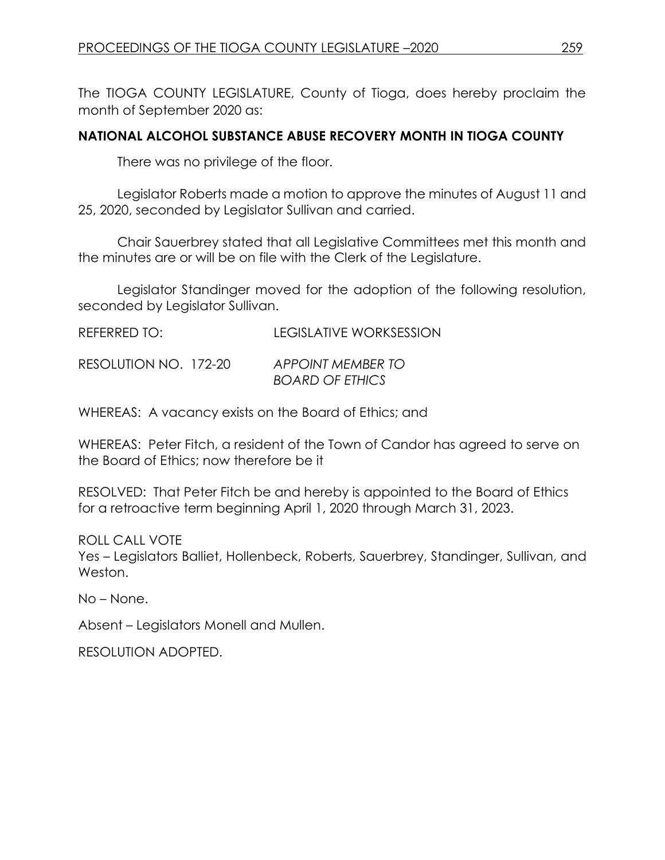The TIOGA COUNTY LEGISLATURE, County of Tioga, does hereby proclaim the month of September 2020 as:

### **NATIONAL ALCOHOL SUBSTANCE ABUSE RECOVERY MONTH IN TIOGA COUNTY**

There was no privilege of the floor.

Legislator Roberts made a motion to approve the minutes of August 11 and 25, 2020, seconded by Legislator Sullivan and carried.

Chair Sauerbrey stated that all Legislative Committees met this month and the minutes are or will be on file with the Clerk of the Legislature.

Legislator Standinger moved for the adoption of the following resolution, seconded by Legislator Sullivan.

| REFERRED TO:          |  | LEGISLATIVE WORKSESSION  |  |
|-----------------------|--|--------------------------|--|
| RESOLUTION NO. 172-20 |  | <b>APPOINT MEMBER TO</b> |  |

WHEREAS: A vacancy exists on the Board of Ethics; and

WHEREAS: Peter Fitch, a resident of the Town of Candor has agreed to serve on the Board of Ethics; now therefore be it

*BOARD OF ETHICS*

RESOLVED: That Peter Fitch be and hereby is appointed to the Board of Ethics for a retroactive term beginning April 1, 2020 through March 31, 2023.

ROLL CALL VOTE

Yes – Legislators Balliet, Hollenbeck, Roberts, Sauerbrey, Standinger, Sullivan, and Weston.

No – None.

Absent – Legislators Monell and Mullen.

RESOLUTION ADOPTED.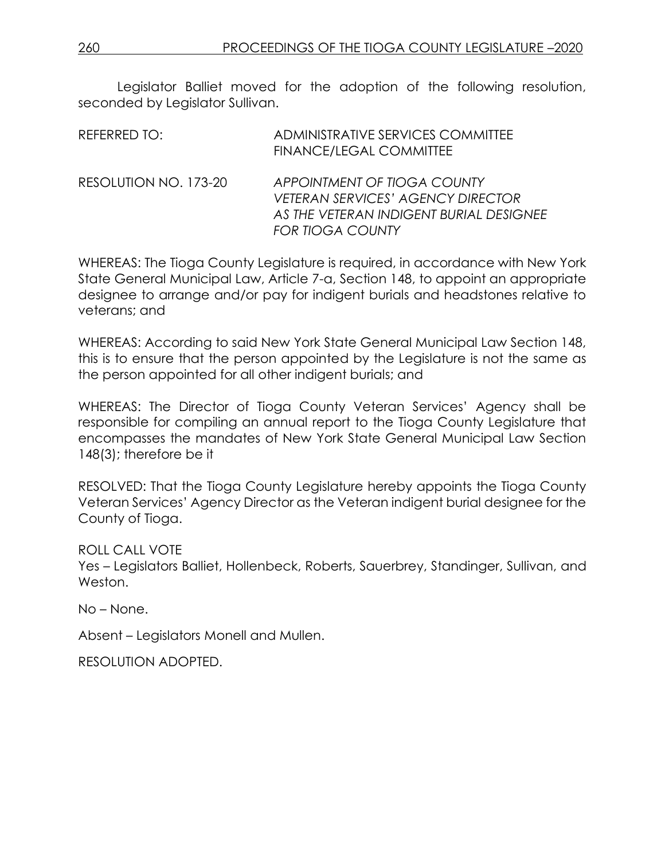Legislator Balliet moved for the adoption of the following resolution, seconded by Legislator Sullivan.

| REFERRED TO:          | ADMINISTRATIVE SERVICES COMMITTEE<br>FINANCE/LEGAL COMMITTEE                                                                                  |
|-----------------------|-----------------------------------------------------------------------------------------------------------------------------------------------|
| RESOLUTION NO. 173-20 | APPOINTMENT OF TIOGA COUNTY<br><b>VETERAN SERVICES' AGENCY DIRECTOR</b><br>AS THE VETERAN INDIGENT BURIAL DESIGNEE<br><b>FOR TIOGA COUNTY</b> |

WHEREAS: The Tioga County Legislature is required, in accordance with New York State General Municipal Law, Article 7-a, Section 148, to appoint an appropriate designee to arrange and/or pay for indigent burials and headstones relative to veterans; and

WHEREAS: According to said New York State General Municipal Law Section 148, this is to ensure that the person appointed by the Legislature is not the same as the person appointed for all other indigent burials; and

WHEREAS: The Director of Tioga County Veteran Services' Agency shall be responsible for compiling an annual report to the Tioga County Legislature that encompasses the mandates of New York State General Municipal Law Section 148(3); therefore be it

RESOLVED: That the Tioga County Legislature hereby appoints the Tioga County Veteran Services' Agency Director as the Veteran indigent burial designee for the County of Tioga.

ROLL CALL VOTE

Yes – Legislators Balliet, Hollenbeck, Roberts, Sauerbrey, Standinger, Sullivan, and Weston.

No – None.

Absent – Legislators Monell and Mullen.

RESOLUTION ADOPTED.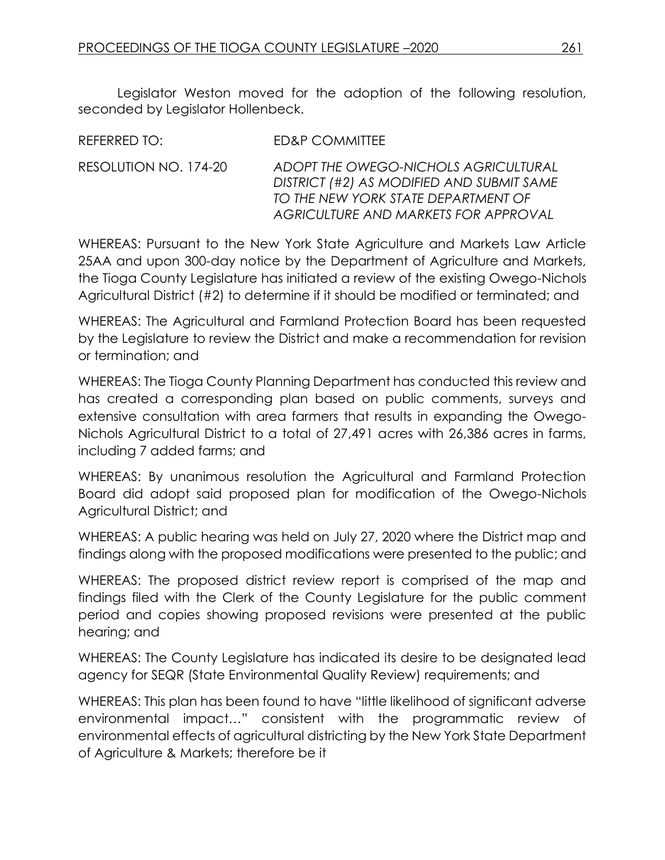Legislator Weston moved for the adoption of the following resolution, seconded by Legislator Hollenbeck.

| REFERRED TO:          | ED&P COMMITTEE                                                                                                                                                   |
|-----------------------|------------------------------------------------------------------------------------------------------------------------------------------------------------------|
| RESOLUTION NO. 174-20 | ADOPT THE OWEGO-NICHOLS AGRICULTURAL<br>DISTRICT (#2) AS MODIFIED AND SUBMIT SAME<br>TO THE NEW YORK STATE DEPARTMENT OF<br>AGRICULTURE AND MARKETS FOR APPROVAL |

WHEREAS: Pursuant to the New York State Agriculture and Markets Law Article 25AA and upon 300-day notice by the Department of Agriculture and Markets, the Tioga County Legislature has initiated a review of the existing Owego-Nichols Agricultural District (#2) to determine if it should be modified or terminated; and

WHEREAS: The Agricultural and Farmland Protection Board has been requested by the Legislature to review the District and make a recommendation for revision or termination; and

WHEREAS: The Tioga County Planning Department has conducted this review and has created a corresponding plan based on public comments, surveys and extensive consultation with area farmers that results in expanding the Owego-Nichols Agricultural District to a total of 27,491 acres with 26,386 acres in farms, including 7 added farms; and

WHEREAS: By unanimous resolution the Agricultural and Farmland Protection Board did adopt said proposed plan for modification of the Owego-Nichols Agricultural District; and

WHEREAS: A public hearing was held on July 27, 2020 where the District map and findings along with the proposed modifications were presented to the public; and

WHEREAS: The proposed district review report is comprised of the map and findings filed with the Clerk of the County Legislature for the public comment period and copies showing proposed revisions were presented at the public hearing; and

WHEREAS: The County Legislature has indicated its desire to be designated lead agency for SEQR (State Environmental Quality Review) requirements; and

WHEREAS: This plan has been found to have "little likelihood of significant adverse environmental impact…" consistent with the programmatic review of environmental effects of agricultural districting by the New York State Department of Agriculture & Markets; therefore be it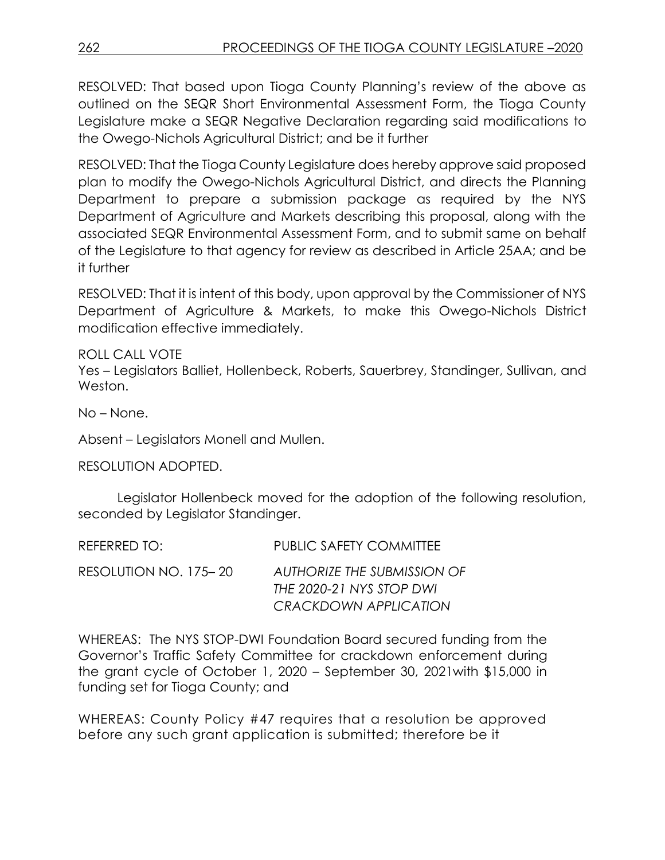RESOLVED: That based upon Tioga County Planning's review of the above as outlined on the SEQR Short Environmental Assessment Form, the Tioga County Legislature make a SEQR Negative Declaration regarding said modifications to the Owego-Nichols Agricultural District; and be it further

RESOLVED: That the Tioga County Legislature does hereby approve said proposed plan to modify the Owego-Nichols Agricultural District, and directs the Planning Department to prepare a submission package as required by the NYS Department of Agriculture and Markets describing this proposal, along with the associated SEQR Environmental Assessment Form, and to submit same on behalf of the Legislature to that agency for review as described in Article 25AA; and be it further

RESOLVED: That it is intent of this body, upon approval by the Commissioner of NYS Department of Agriculture & Markets, to make this Owego-Nichols District modification effective immediately.

ROLL CALL VOTE

Yes – Legislators Balliet, Hollenbeck, Roberts, Sauerbrey, Standinger, Sullivan, and Weston.

No – None.

Absent – Legislators Monell and Mullen.

RESOLUTION ADOPTED.

Legislator Hollenbeck moved for the adoption of the following resolution, seconded by Legislator Standinger.

| REFERRED TO:          | <b>PUBLIC SAFETY COMMITTEE</b>     |
|-----------------------|------------------------------------|
| RESOLUTION NO. 175–20 | <b>AUTHORIZE THE SUBMISSION OF</b> |
|                       | THE 2020-21 NYS STOP DWI           |
|                       | <b>CRACKDOWN APPLICATION</b>       |

WHEREAS: The NYS STOP-DWI Foundation Board secured funding from the Governor's Traffic Safety Committee for crackdown enforcement during the grant cycle of October 1, 2020 – September 30, 2021with \$15,000 in funding set for Tioga County; and

WHEREAS: County Policy #47 requires that a resolution be approved before any such grant application is submitted; therefore be it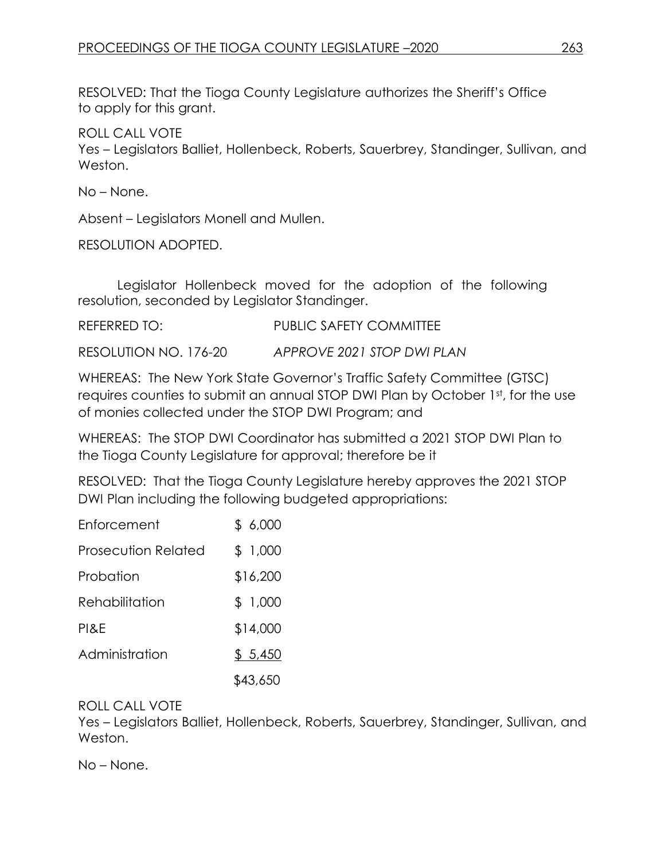RESOLVED: That the Tioga County Legislature authorizes the Sheriff's Office to apply for this grant.

ROLL CALL VOTE

Yes – Legislators Balliet, Hollenbeck, Roberts, Sauerbrey, Standinger, Sullivan, and Weston.

No – None.

Absent – Legislators Monell and Mullen.

RESOLUTION ADOPTED.

Legislator Hollenbeck moved for the adoption of the following resolution, seconded by Legislator Standinger.

REFERRED TO: PUBLIC SAFETY COMMITTEE

RESOLUTION NO. 176-20 *APPROVE 2021 STOP DWI PLAN*

WHEREAS: The New York State Governor's Traffic Safety Committee (GTSC) requires counties to submit an annual STOP DWI Plan by October 1st, for the use of monies collected under the STOP DWI Program; and

WHEREAS: The STOP DWI Coordinator has submitted a 2021 STOP DWI Plan to the Tioga County Legislature for approval; therefore be it

RESOLVED: That the Tioga County Legislature hereby approves the 2021 STOP DWI Plan including the following budgeted appropriations:

| Enforcement                | \$6,000  |
|----------------------------|----------|
| <b>Prosecution Related</b> | \$ 1,000 |
| Probation                  | \$16,200 |
| Rehabilitation             | \$1,000  |
| PI&E                       | \$14,000 |
| Administration             | \$5,450  |
|                            | \$43,650 |

#### ROLL CALL VOTE

Yes – Legislators Balliet, Hollenbeck, Roberts, Sauerbrey, Standinger, Sullivan, and Weston.

No – None.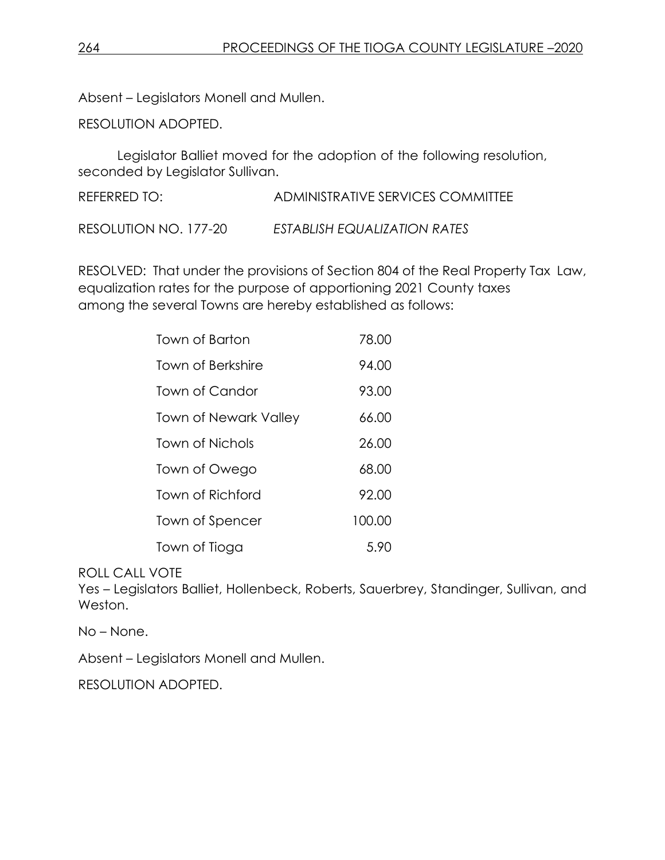Absent – Legislators Monell and Mullen.

RESOLUTION ADOPTED.

Legislator Balliet moved for the adoption of the following resolution, seconded by Legislator Sullivan.

REFERRED TO: ADMINISTRATIVE SERVICES COMMITTEE

RESOLUTION NO. 177-20 *ESTABLISH EQUALIZATION RATES*

RESOLVED: That under the provisions of Section 804 of the Real Property Tax Law, equalization rates for the purpose of apportioning 2021 County taxes among the several Towns are hereby established as follows:

| Town of Barton               | 78.00  |
|------------------------------|--------|
| Town of Berkshire            | 94.00  |
| Town of Candor               | 93.00  |
| <b>Town of Newark Valley</b> | 66.00  |
| Town of Nichols              | 26.00  |
| Town of Owego                | 68.00  |
| Town of Richford             | 92.00  |
| Town of Spencer              | 100.00 |
| Town of Tioga                | 5.90   |

ROLL CALL VOTE

Yes – Legislators Balliet, Hollenbeck, Roberts, Sauerbrey, Standinger, Sullivan, and Weston.

No – None.

Absent – Legislators Monell and Mullen.

RESOLUTION ADOPTED.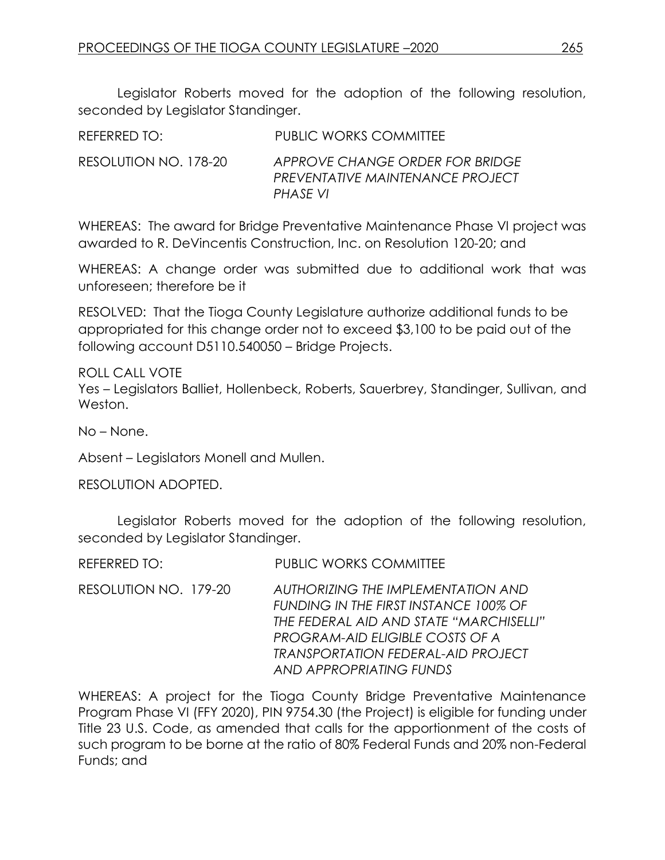Legislator Roberts moved for the adoption of the following resolution, seconded by Legislator Standinger.

| REFERRED TO:          | <b>PUBLIC WORKS COMMITTEE</b>                                                          |
|-----------------------|----------------------------------------------------------------------------------------|
| RESOLUTION NO. 178-20 | APPROVE CHANGE ORDER FOR BRIDGE<br><b>PREVENTATIVE MAINTENANCE PROJECT</b><br>PHASE VI |

WHEREAS: The award for Bridge Preventative Maintenance Phase VI project was awarded to R. DeVincentis Construction, Inc. on Resolution 120-20; and

WHEREAS: A change order was submitted due to additional work that was unforeseen; therefore be it

RESOLVED: That the Tioga County Legislature authorize additional funds to be appropriated for this change order not to exceed \$3,100 to be paid out of the following account D5110.540050 – Bridge Projects.

ROLL CALL VOTE

Yes – Legislators Balliet, Hollenbeck, Roberts, Sauerbrey, Standinger, Sullivan, and Weston.

No – None.

Absent – Legislators Monell and Mullen.

RESOLUTION ADOPTED.

Legislator Roberts moved for the adoption of the following resolution, seconded by Legislator Standinger.

REFERRED TO: PUBLIC WORKS COMMITTEE

RESOLUTION NO. 179-20 *AUTHORIZING THE IMPLEMENTATION AND FUNDING IN THE FIRST INSTANCE 100% OF THE FEDERAL AID AND STATE "MARCHISELLI" PROGRAM-AID ELIGIBLE COSTS OF A TRANSPORTATION FEDERAL-AID PROJECT AND APPROPRIATING FUNDS*

WHEREAS: A project for the Tioga County Bridge Preventative Maintenance Program Phase VI (FFY 2020), PIN 9754.30 (the Project) is eligible for funding under Title 23 U.S. Code, as amended that calls for the apportionment of the costs of such program to be borne at the ratio of 80% Federal Funds and 20% non-Federal Funds; and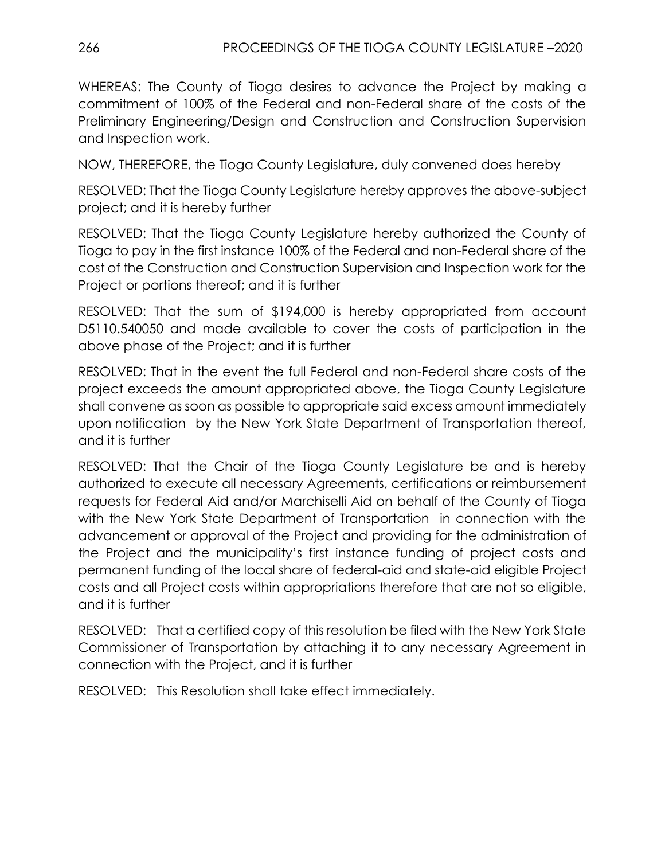WHEREAS: The County of Tioga desires to advance the Project by making a commitment of 100% of the Federal and non-Federal share of the costs of the Preliminary Engineering/Design and Construction and Construction Supervision and Inspection work.

NOW, THEREFORE, the Tioga County Legislature, duly convened does hereby

RESOLVED: That the Tioga County Legislature hereby approves the above-subject project; and it is hereby further

RESOLVED: That the Tioga County Legislature hereby authorized the County of Tioga to pay in the first instance 100% of the Federal and non-Federal share of the cost of the Construction and Construction Supervision and Inspection work for the Project or portions thereof; and it is further

RESOLVED: That the sum of \$194,000 is hereby appropriated from account D5110.540050 and made available to cover the costs of participation in the above phase of the Project; and it is further

RESOLVED: That in the event the full Federal and non-Federal share costs of the project exceeds the amount appropriated above, the Tioga County Legislature shall convene as soon as possible to appropriate said excess amount immediately upon notification by the New York State Department of Transportation thereof, and it is further

RESOLVED: That the Chair of the Tioga County Legislature be and is hereby authorized to execute all necessary Agreements, certifications or reimbursement requests for Federal Aid and/or Marchiselli Aid on behalf of the County of Tioga with the New York State Department of Transportation in connection with the advancement or approval of the Project and providing for the administration of the Project and the municipality's first instance funding of project costs and permanent funding of the local share of federal-aid and state-aid eligible Project costs and all Project costs within appropriations therefore that are not so eligible, and it is further

RESOLVED: That a certified copy of this resolution be filed with the New York State Commissioner of Transportation by attaching it to any necessary Agreement in connection with the Project, and it is further

RESOLVED: This Resolution shall take effect immediately.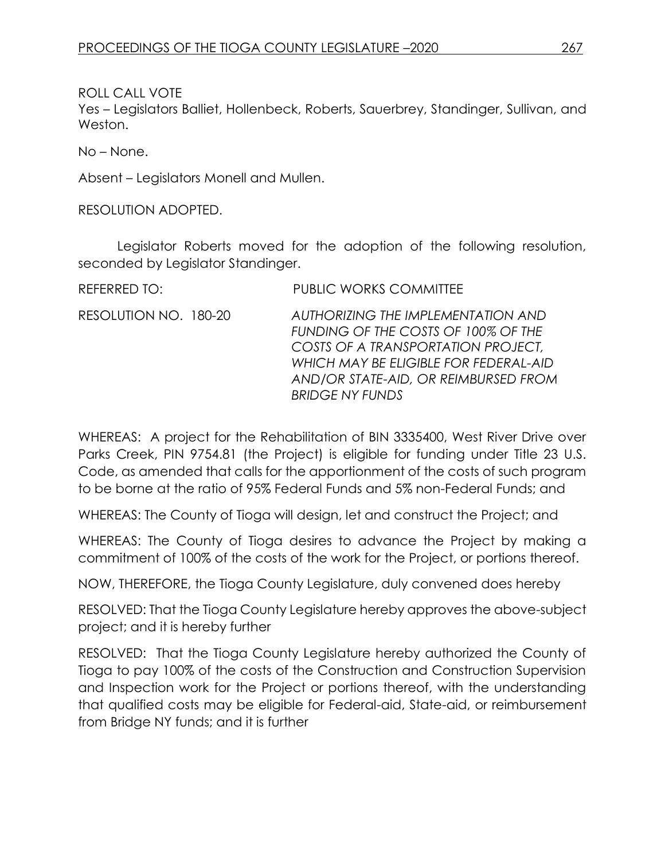ROLL CALL VOTE

Yes – Legislators Balliet, Hollenbeck, Roberts, Sauerbrey, Standinger, Sullivan, and Weston.

No – None.

Absent – Legislators Monell and Mullen.

RESOLUTION ADOPTED.

Legislator Roberts moved for the adoption of the following resolution, seconded by Legislator Standinger.

| REFERRED TO:          | <b>PUBLIC WORKS COMMITTEE</b>                                                                                                                                                                                              |
|-----------------------|----------------------------------------------------------------------------------------------------------------------------------------------------------------------------------------------------------------------------|
| RESOLUTION NO. 180-20 | AUTHORIZING THE IMPLEMENTATION AND<br>FUNDING OF THE COSTS OF 100% OF THE<br>COSTS OF A TRANSPORTATION PROJECT,<br>WHICH MAY BE ELIGIBLE FOR FEDERAL-AID<br>AND/OR STATE-AID, OR REIMBURSED FROM<br><b>BRIDGE NY FUNDS</b> |

WHEREAS: A project for the Rehabilitation of BIN 3335400, West River Drive over Parks Creek, PIN 9754.81 (the Project) is eligible for funding under Title 23 U.S. Code, as amended that calls for the apportionment of the costs of such program to be borne at the ratio of 95% Federal Funds and 5% non-Federal Funds; and

WHEREAS: The County of Tioga will design, let and construct the Project; and

WHEREAS: The County of Tioga desires to advance the Project by making a commitment of 100% of the costs of the work for the Project, or portions thereof.

NOW, THEREFORE, the Tioga County Legislature, duly convened does hereby

RESOLVED: That the Tioga County Legislature hereby approves the above-subject project; and it is hereby further

RESOLVED: That the Tioga County Legislature hereby authorized the County of Tioga to pay 100% of the costs of the Construction and Construction Supervision and Inspection work for the Project or portions thereof, with the understanding that qualified costs may be eligible for Federal-aid, State-aid, or reimbursement from Bridge NY funds; and it is further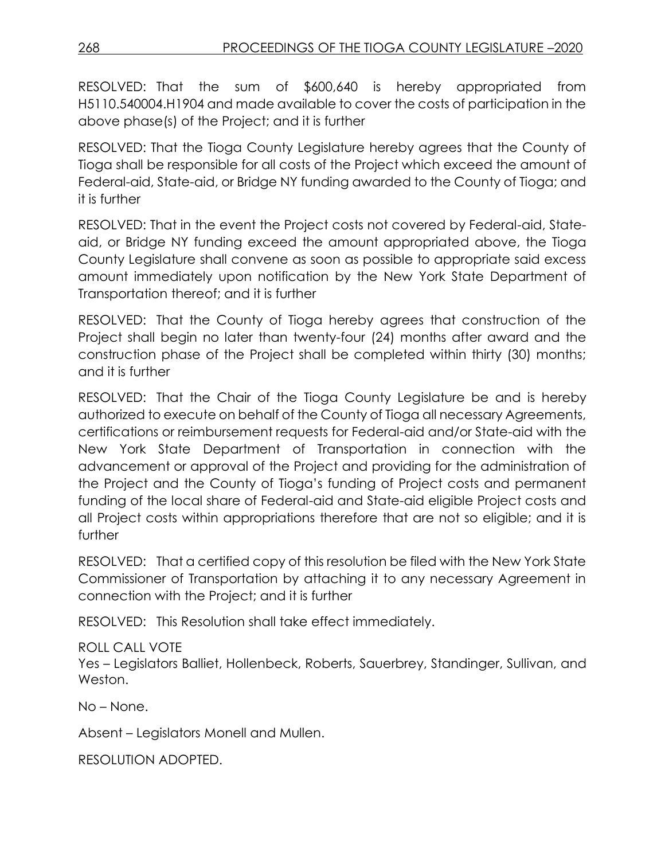RESOLVED: That the sum of \$600,640 is hereby appropriated from H5110.540004.H1904 and made available to cover the costs of participation in the above phase(s) of the Project; and it is further

RESOLVED: That the Tioga County Legislature hereby agrees that the County of Tioga shall be responsible for all costs of the Project which exceed the amount of Federal-aid, State-aid, or Bridge NY funding awarded to the County of Tioga; and it is further

RESOLVED: That in the event the Project costs not covered by Federal-aid, Stateaid, or Bridge NY funding exceed the amount appropriated above, the Tioga County Legislature shall convene as soon as possible to appropriate said excess amount immediately upon notification by the New York State Department of Transportation thereof; and it is further

RESOLVED: That the County of Tioga hereby agrees that construction of the Project shall begin no later than twenty-four (24) months after award and the construction phase of the Project shall be completed within thirty (30) months; and it is further

RESOLVED: That the Chair of the Tioga County Legislature be and is hereby authorized to execute on behalf of the County of Tioga all necessary Agreements, certifications or reimbursement requests for Federal-aid and/or State-aid with the New York State Department of Transportation in connection with the advancement or approval of the Project and providing for the administration of the Project and the County of Tioga's funding of Project costs and permanent funding of the local share of Federal-aid and State-aid eligible Project costs and all Project costs within appropriations therefore that are not so eligible; and it is further

RESOLVED: That a certified copy of this resolution be filed with the New York State Commissioner of Transportation by attaching it to any necessary Agreement in connection with the Project; and it is further

RESOLVED: This Resolution shall take effect immediately.

### ROLL CALL VOTE

Yes – Legislators Balliet, Hollenbeck, Roberts, Sauerbrey, Standinger, Sullivan, and Weston.

No – None.

Absent – Legislators Monell and Mullen.

RESOLUTION ADOPTED.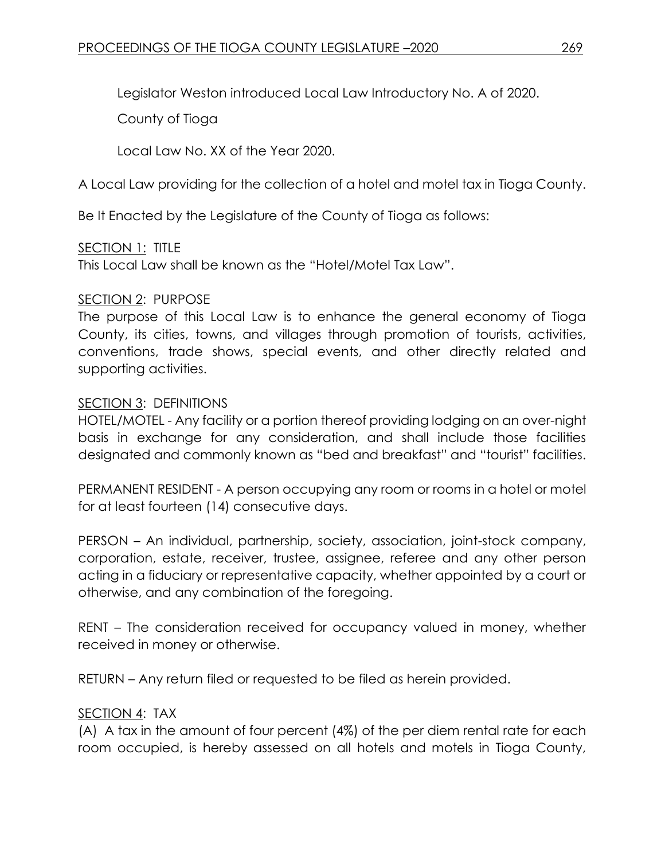Legislator Weston introduced Local Law Introductory No. A of 2020.

County of Tioga

Local Law No. XX of the Year 2020.

A Local Law providing for the collection of a hotel and motel tax in Tioga County.

Be It Enacted by the Legislature of the County of Tioga as follows:

# SECTION 1: TITLE

This Local Law shall be known as the "Hotel/Motel Tax Law".

### SECTION 2: PURPOSE

The purpose of this Local Law is to enhance the general economy of Tioga County, its cities, towns, and villages through promotion of tourists, activities, conventions, trade shows, special events, and other directly related and supporting activities.

### SECTION 3: DEFINITIONS

HOTEL/MOTEL - Any facility or a portion thereof providing lodging on an over-night basis in exchange for any consideration, and shall include those facilities designated and commonly known as "bed and breakfast" and "tourist" facilities.

PERMANENT RESIDENT - A person occupying any room or rooms in a hotel or motel for at least fourteen (14) consecutive days.

PERSON – An individual, partnership, society, association, joint-stock company, corporation, estate, receiver, trustee, assignee, referee and any other person acting in a fiduciary or representative capacity, whether appointed by a court or otherwise, and any combination of the foregoing.

RENT – The consideration received for occupancy valued in money, whether received in money or otherwise.

RETURN – Any return filed or requested to be filed as herein provided.

### SECTION 4: TAX

(A) A tax in the amount of four percent (4%) of the per diem rental rate for each room occupied, is hereby assessed on all hotels and motels in Tioga County,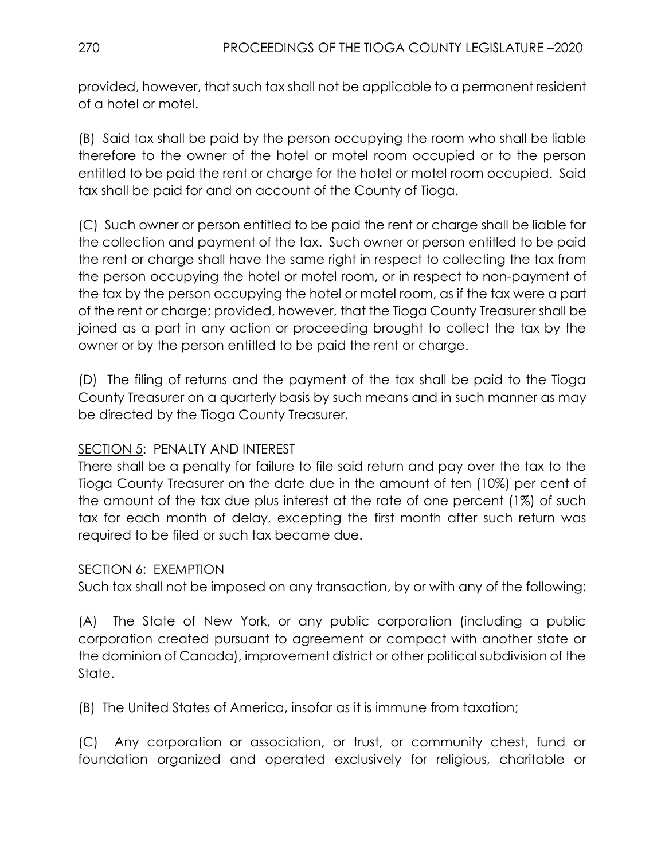provided, however, that such tax shall not be applicable to a permanent resident of a hotel or motel.

(B) Said tax shall be paid by the person occupying the room who shall be liable therefore to the owner of the hotel or motel room occupied or to the person entitled to be paid the rent or charge for the hotel or motel room occupied. Said tax shall be paid for and on account of the County of Tioga.

(C) Such owner or person entitled to be paid the rent or charge shall be liable for the collection and payment of the tax. Such owner or person entitled to be paid the rent or charge shall have the same right in respect to collecting the tax from the person occupying the hotel or motel room, or in respect to non-payment of the tax by the person occupying the hotel or motel room, as if the tax were a part of the rent or charge; provided, however, that the Tioga County Treasurer shall be joined as a part in any action or proceeding brought to collect the tax by the owner or by the person entitled to be paid the rent or charge.

(D) The filing of returns and the payment of the tax shall be paid to the Tioga County Treasurer on a quarterly basis by such means and in such manner as may be directed by the Tioga County Treasurer.

# SECTION 5: PENALTY AND INTEREST

There shall be a penalty for failure to file said return and pay over the tax to the Tioga County Treasurer on the date due in the amount of ten (10%) per cent of the amount of the tax due plus interest at the rate of one percent (1%) of such tax for each month of delay, excepting the first month after such return was required to be filed or such tax became due.

# SECTION 6: EXEMPTION

Such tax shall not be imposed on any transaction, by or with any of the following:

(A) The State of New York, or any public corporation (including a public corporation created pursuant to agreement or compact with another state or the dominion of Canada), improvement district or other political subdivision of the State.

(B) The United States of America, insofar as it is immune from taxation;

(C) Any corporation or association, or trust, or community chest, fund or foundation organized and operated exclusively for religious, charitable or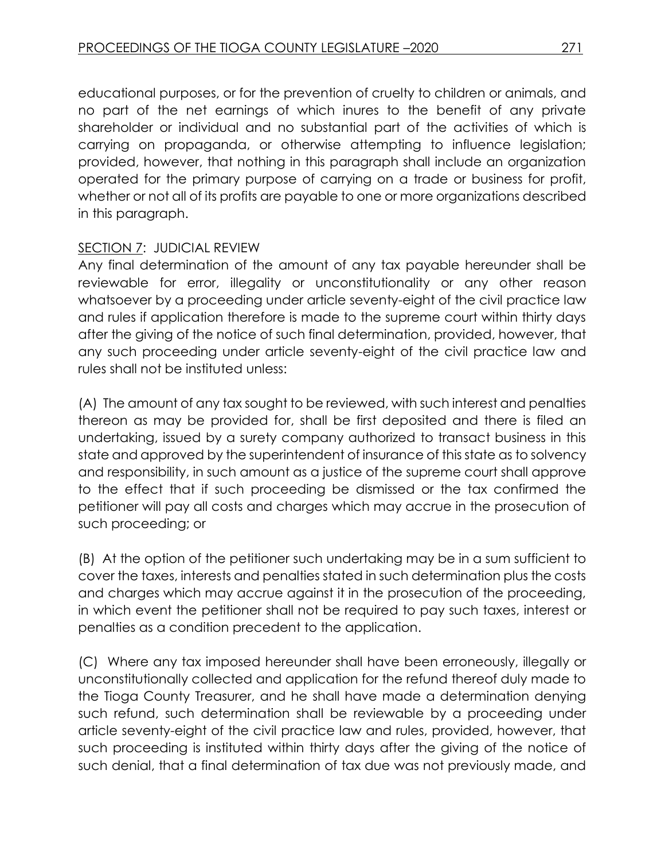educational purposes, or for the prevention of cruelty to children or animals, and no part of the net earnings of which inures to the benefit of any private shareholder or individual and no substantial part of the activities of which is carrying on propaganda, or otherwise attempting to influence legislation; provided, however, that nothing in this paragraph shall include an organization operated for the primary purpose of carrying on a trade or business for profit, whether or not all of its profits are payable to one or more organizations described in this paragraph.

### SECTION 7: JUDICIAL REVIEW

Any final determination of the amount of any tax payable hereunder shall be reviewable for error, illegality or unconstitutionality or any other reason whatsoever by a proceeding under article seventy-eight of the civil practice law and rules if application therefore is made to the supreme court within thirty days after the giving of the notice of such final determination, provided, however, that any such proceeding under article seventy-eight of the civil practice law and rules shall not be instituted unless:

(A) The amount of any tax sought to be reviewed, with such interest and penalties thereon as may be provided for, shall be first deposited and there is filed an undertaking, issued by a surety company authorized to transact business in this state and approved by the superintendent of insurance of this state as to solvency and responsibility, in such amount as a justice of the supreme court shall approve to the effect that if such proceeding be dismissed or the tax confirmed the petitioner will pay all costs and charges which may accrue in the prosecution of such proceeding; or

(B) At the option of the petitioner such undertaking may be in a sum sufficient to cover the taxes, interests and penalties stated in such determination plus the costs and charges which may accrue against it in the prosecution of the proceeding, in which event the petitioner shall not be required to pay such taxes, interest or penalties as a condition precedent to the application.

(C) Where any tax imposed hereunder shall have been erroneously, illegally or unconstitutionally collected and application for the refund thereof duly made to the Tioga County Treasurer, and he shall have made a determination denying such refund, such determination shall be reviewable by a proceeding under article seventy-eight of the civil practice law and rules, provided, however, that such proceeding is instituted within thirty days after the giving of the notice of such denial, that a final determination of tax due was not previously made, and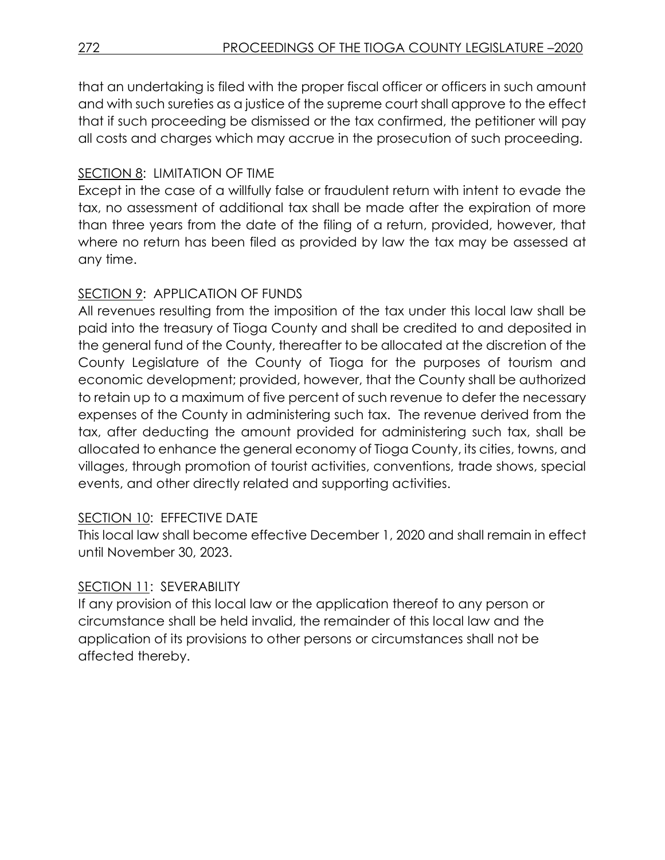that an undertaking is filed with the proper fiscal officer or officers in such amount and with such sureties as a justice of the supreme court shall approve to the effect that if such proceeding be dismissed or the tax confirmed, the petitioner will pay all costs and charges which may accrue in the prosecution of such proceeding.

# SECTION 8: LIMITATION OF TIME

Except in the case of a willfully false or fraudulent return with intent to evade the tax, no assessment of additional tax shall be made after the expiration of more than three years from the date of the filing of a return, provided, however, that where no return has been filed as provided by law the tax may be assessed at any time.

# SECTION 9: APPLICATION OF FUNDS

All revenues resulting from the imposition of the tax under this local law shall be paid into the treasury of Tioga County and shall be credited to and deposited in the general fund of the County, thereafter to be allocated at the discretion of the County Legislature of the County of Tioga for the purposes of tourism and economic development; provided, however, that the County shall be authorized to retain up to a maximum of five percent of such revenue to defer the necessary expenses of the County in administering such tax. The revenue derived from the tax, after deducting the amount provided for administering such tax, shall be allocated to enhance the general economy of Tioga County, its cities, towns, and villages, through promotion of tourist activities, conventions, trade shows, special events, and other directly related and supporting activities.

### SECTION 10: EFFECTIVE DATE

This local law shall become effective December 1, 2020 and shall remain in effect until November 30, 2023.

### SECTION 11: SEVERABILITY

If any provision of this local law or the application thereof to any person or circumstance shall be held invalid, the remainder of this local law and the application of its provisions to other persons or circumstances shall not be affected thereby.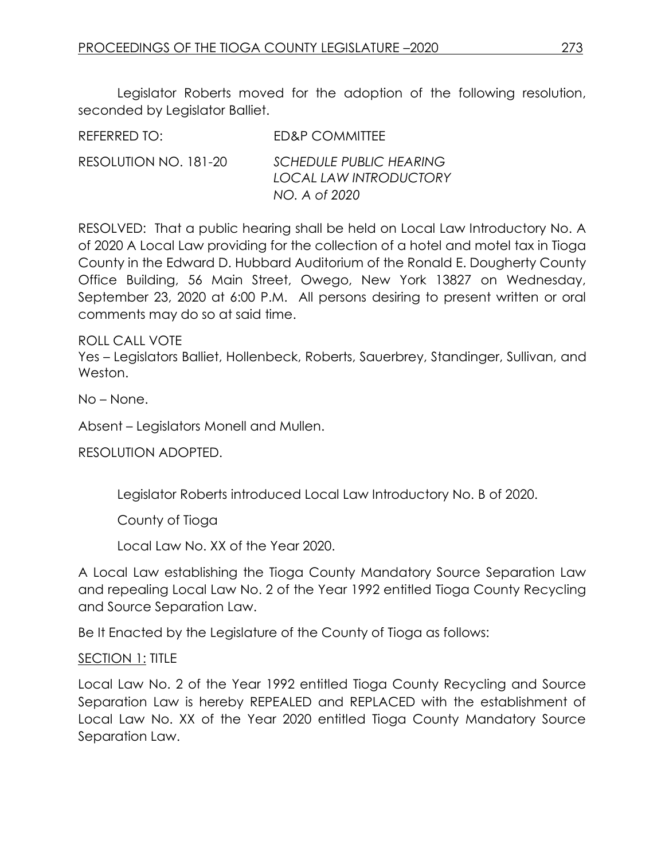Legislator Roberts moved for the adoption of the following resolution, seconded by Legislator Balliet.

| REFERRED TO:          | ED&P COMMITTEE                                                                   |
|-----------------------|----------------------------------------------------------------------------------|
| RESOLUTION NO. 181-20 | <b>SCHEDULE PUBLIC HEARING</b><br><b>LOCAL LAW INTRODUCTORY</b><br>NO. A of 2020 |

RESOLVED: That a public hearing shall be held on Local Law Introductory No. A of 2020 A Local Law providing for the collection of a hotel and motel tax in Tioga County in the Edward D. Hubbard Auditorium of the Ronald E. Dougherty County Office Building, 56 Main Street, Owego, New York 13827 on Wednesday, September 23, 2020 at 6:00 P.M. All persons desiring to present written or oral comments may do so at said time.

ROLL CALL VOTE

Yes – Legislators Balliet, Hollenbeck, Roberts, Sauerbrey, Standinger, Sullivan, and Weston.

No – None.

Absent – Legislators Monell and Mullen.

RESOLUTION ADOPTED.

Legislator Roberts introduced Local Law Introductory No. B of 2020.

County of Tioga

Local Law No. XX of the Year 2020.

A Local Law establishing the Tioga County Mandatory Source Separation Law and repealing Local Law No. 2 of the Year 1992 entitled Tioga County Recycling and Source Separation Law.

Be It Enacted by the Legislature of the County of Tioga as follows:

#### SECTION 1: TITLE

Local Law No. 2 of the Year 1992 entitled Tioga County Recycling and Source Separation Law is hereby REPEALED and REPLACED with the establishment of Local Law No. XX of the Year 2020 entitled Tioga County Mandatory Source Separation Law.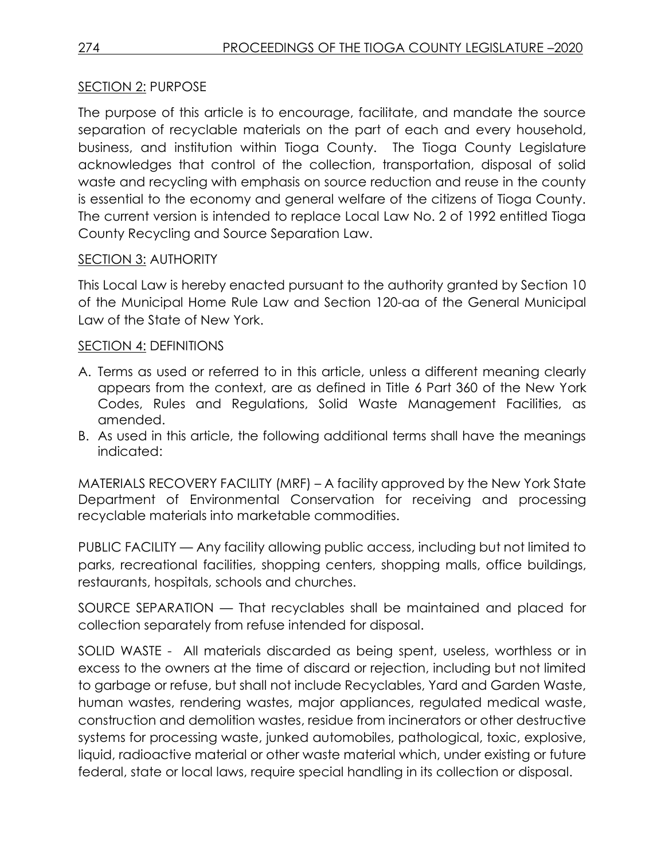### SECTION 2: PURPOSE

The purpose of this article is to encourage, facilitate, and mandate the source separation of recyclable materials on the part of each and every household, business, and institution within Tioga County. The Tioga County Legislature acknowledges that control of the collection, transportation, disposal of solid waste and recycling with emphasis on source reduction and reuse in the county is essential to the economy and general welfare of the citizens of Tioga County. The current version is intended to replace Local Law No. 2 of 1992 entitled Tioga County Recycling and Source Separation Law.

#### SECTION 3: AUTHORITY

This Local Law is hereby enacted pursuant to the authority granted by Section 10 of the Municipal Home Rule Law and Section 120-aa of the General Municipal Law of the State of New York.

#### SECTION 4: DEFINITIONS

- A. Terms as used or referred to in this article, unless a different meaning clearly appears from the context, are as defined in Title 6 Part 360 of the New York Codes, Rules and Regulations, Solid Waste Management Facilities, as amended.
- B. As used in this article, the following additional terms shall have the meanings indicated:

MATERIALS RECOVERY FACILITY (MRF) – A facility approved by the New York State Department of Environmental Conservation for receiving and processing recyclable materials into marketable commodities.

PUBLIC FACILITY — Any facility allowing public access, including but not limited to parks, recreational facilities, shopping centers, shopping malls, office buildings, restaurants, hospitals, schools and churches.

SOURCE SEPARATION — That recyclables shall be maintained and placed for collection separately from refuse intended for disposal.

SOLID WASTE - All materials discarded as being spent, useless, worthless or in excess to the owners at the time of discard or rejection, including but not limited to garbage or refuse, but shall not include Recyclables, Yard and Garden Waste, human wastes, rendering wastes, major appliances, regulated medical waste, construction and demolition wastes, residue from incinerators or other destructive systems for processing waste, junked automobiles, pathological, toxic, explosive, liquid, radioactive material or other waste material which, under existing or future federal, state or local laws, require special handling in its collection or disposal.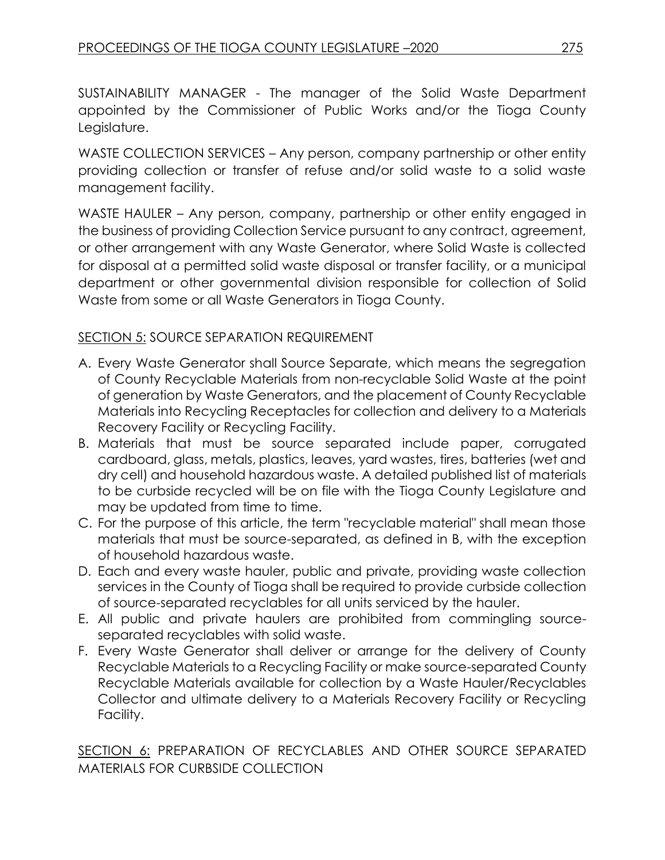SUSTAINABILITY MANAGER - The manager of the Solid Waste Department appointed by the Commissioner of Public Works and/or the Tioga County Legislature.

WASTE COLLECTION SERVICES – Any person, company partnership or other entity providing collection or transfer of refuse and/or solid waste to a solid waste management facility.

WASTE HAULER – Any person, company, partnership or other entity engaged in the business of providing Collection Service pursuant to any contract, agreement, or other arrangement with any Waste Generator, where Solid Waste is collected for disposal at a permitted solid waste disposal or transfer facility, or a municipal department or other governmental division responsible for collection of Solid Waste from some or all Waste Generators in Tioga County.

### SECTION 5: SOURCE SEPARATION REQUIREMENT

- A. Every Waste Generator shall Source Separate, which means the segregation of County Recyclable Materials from non-recyclable Solid Waste at the point of generation by Waste Generators, and the placement of County Recyclable Materials into Recycling Receptacles for collection and delivery to a Materials Recovery Facility or Recycling Facility.
- B. Materials that must be source separated include paper, corrugated cardboard, glass, metals, plastics, leaves, yard wastes, tires, batteries (wet and dry cell) and household hazardous waste. A detailed published list of materials to be curbside recycled will be on file with the Tioga County Legislature and may be updated from time to time.
- C. For the purpose of this article, the term "recyclable material" shall mean those materials that must be source-separated, as defined in B, with the exception of household hazardous waste.
- D. Each and every waste hauler, public and private, providing waste collection services in the County of Tioga shall be required to provide curbside collection of source-separated recyclables for all units serviced by the hauler.
- E. All public and private haulers are prohibited from commingling sourceseparated recyclables with solid waste.
- F. Every Waste Generator shall deliver or arrange for the delivery of County Recyclable Materials to a Recycling Facility or make source-separated County Recyclable Materials available for collection by a Waste Hauler/Recyclables Collector and ultimate delivery to a Materials Recovery Facility or Recycling Facility.

SECTION 6: PREPARATION OF RECYCLABLES AND OTHER SOURCE SEPARATED MATERIALS FOR CURBSIDE COLLECTION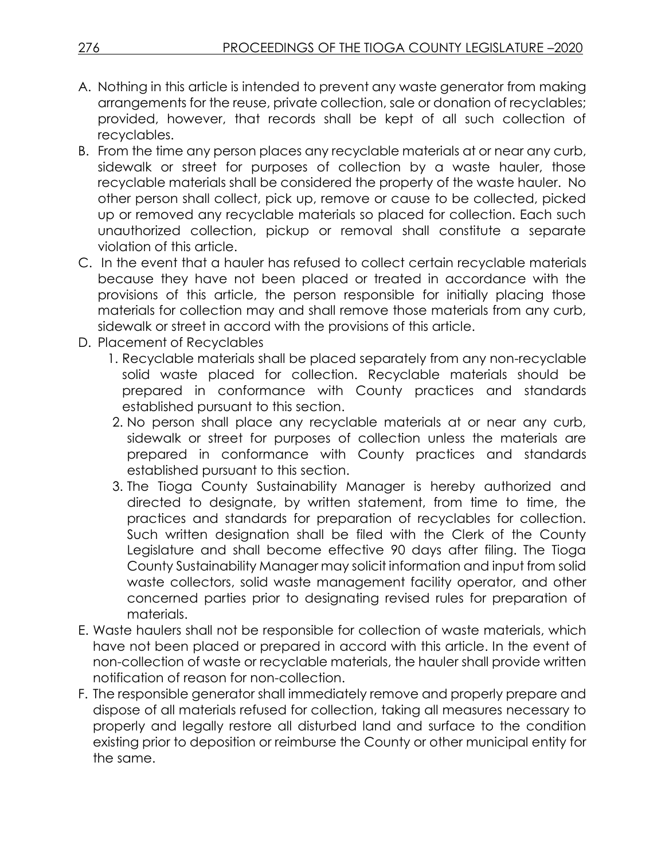- A. Nothing in this article is intended to prevent any waste generator from making arrangements for the reuse, private collection, sale or donation of recyclables; provided, however, that records shall be kept of all such collection of recyclables.
- B. From the time any person places any recyclable materials at or near any curb, sidewalk or street for purposes of collection by a waste hauler, those recyclable materials shall be considered the property of the waste hauler. No other person shall collect, pick up, remove or cause to be collected, picked up or removed any recyclable materials so placed for collection. Each such unauthorized collection, pickup or removal shall constitute a separate violation of this article.
- C. In the event that a hauler has refused to collect certain recyclable materials because they have not been placed or treated in accordance with the provisions of this article, the person responsible for initially placing those materials for collection may and shall remove those materials from any curb, sidewalk or street in accord with the provisions of this article.
- D. Placement of Recyclables
	- 1. Recyclable materials shall be placed separately from any non-recyclable solid waste placed for collection. Recyclable materials should be prepared in conformance with County practices and standards established pursuant to this section.
	- 2. No person shall place any recyclable materials at or near any curb, sidewalk or street for purposes of collection unless the materials are prepared in conformance with County practices and standards established pursuant to this section.
	- 3. The Tioga County Sustainability Manager is hereby authorized and directed to designate, by written statement, from time to time, the practices and standards for preparation of recyclables for collection. Such written designation shall be filed with the Clerk of the County Legislature and shall become effective 90 days after filing. The Tioga County Sustainability Manager may solicit information and input from solid waste collectors, solid waste management facility operator, and other concerned parties prior to designating revised rules for preparation of materials.
- E. Waste haulers shall not be responsible for collection of waste materials, which have not been placed or prepared in accord with this article. In the event of non-collection of waste or recyclable materials, the hauler shall provide written notification of reason for non-collection.
- F. The responsible generator shall immediately remove and properly prepare and dispose of all materials refused for collection, taking all measures necessary to properly and legally restore all disturbed land and surface to the condition existing prior to deposition or reimburse the County or other municipal entity for the same.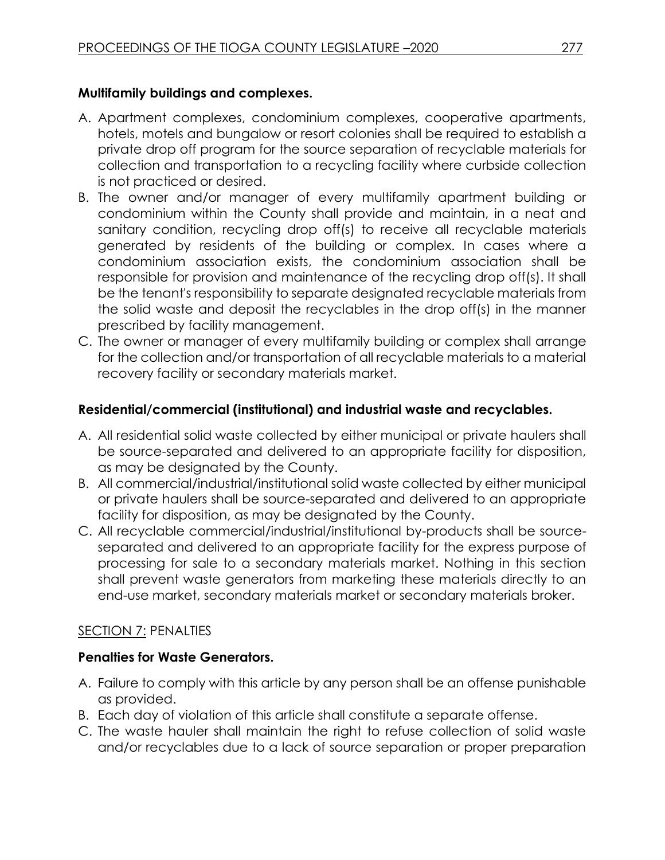### **Multifamily buildings and complexes.**

- A. Apartment complexes, condominium complexes, cooperative apartments, hotels, motels and bungalow or resort colonies shall be required to establish a private drop off program for the source separation of recyclable materials for collection and transportation to a recycling facility where curbside collection is not practiced or desired.
- B. The owner and/or manager of every multifamily apartment building or condominium within the County shall provide and maintain, in a neat and sanitary condition, recycling drop off(s) to receive all recyclable materials generated by residents of the building or complex. In cases where a condominium association exists, the condominium association shall be responsible for provision and maintenance of the recycling drop off(s). It shall be the tenant's responsibility to separate designated recyclable materials from the solid waste and deposit the recyclables in the drop off(s) in the manner prescribed by facility management.
- C. The owner or manager of every multifamily building or complex shall arrange for the collection and/or transportation of all recyclable materials to a material recovery facility or secondary materials market.

### **Residential/commercial (institutional) and industrial waste and recyclables.**

- A. All residential solid waste collected by either municipal or private haulers shall be source-separated and delivered to an appropriate facility for disposition, as may be designated by the County.
- B. All commercial/industrial/institutional solid waste collected by either municipal or private haulers shall be source-separated and delivered to an appropriate facility for disposition, as may be designated by the County.
- C. All recyclable commercial/industrial/institutional by-products shall be sourceseparated and delivered to an appropriate facility for the express purpose of processing for sale to a secondary materials market. Nothing in this section shall prevent waste generators from marketing these materials directly to an end-use market, secondary materials market or secondary materials broker.

### SECTION 7: PENALTIES

### **Penalties for Waste Generators.**

- A. Failure to comply with this article by any person shall be an offense punishable as provided.
- B. Each day of violation of this article shall constitute a separate offense.
- C. The waste hauler shall maintain the right to refuse collection of solid waste and/or recyclables due to a lack of source separation or proper preparation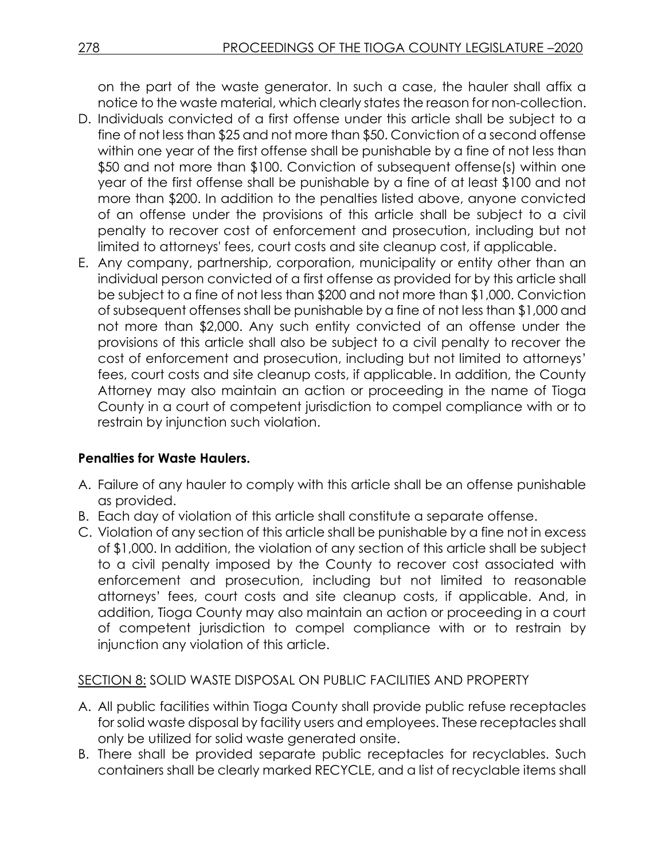on the part of the waste generator. In such a case, the hauler shall affix a notice to the waste material, which clearly states the reason for non-collection.

- D. Individuals convicted of a first offense under this article shall be subject to a fine of not less than \$25 and not more than \$50. Conviction of a second offense within one year of the first offense shall be punishable by a fine of not less than \$50 and not more than \$100. Conviction of subsequent offense(s) within one year of the first offense shall be punishable by a fine of at least \$100 and not more than \$200. In addition to the penalties listed above, anyone convicted of an offense under the provisions of this article shall be subject to a civil penalty to recover cost of enforcement and prosecution, including but not limited to attorneys' fees, court costs and site cleanup cost, if applicable.
- E. Any company, partnership, corporation, municipality or entity other than an individual person convicted of a first offense as provided for by this article shall be subject to a fine of not less than \$200 and not more than \$1,000. Conviction of subsequent offenses shall be punishable by a fine of not less than \$1,000 and not more than \$2,000. Any such entity convicted of an offense under the provisions of this article shall also be subject to a civil penalty to recover the cost of enforcement and prosecution, including but not limited to attorneys' fees, court costs and site cleanup costs, if applicable. In addition, the County Attorney may also maintain an action or proceeding in the name of Tioga County in a court of competent jurisdiction to compel compliance with or to restrain by injunction such violation.

#### **Penalties for Waste Haulers.**

- A. Failure of any hauler to comply with this article shall be an offense punishable as provided.
- B. Each day of violation of this article shall constitute a separate offense.
- C. Violation of any section of this article shall be punishable by a fine not in excess of \$1,000. In addition, the violation of any section of this article shall be subject to a civil penalty imposed by the County to recover cost associated with enforcement and prosecution, including but not limited to reasonable attorneys' fees, court costs and site cleanup costs, if applicable. And, in addition, Tioga County may also maintain an action or proceeding in a court of competent jurisdiction to compel compliance with or to restrain by injunction any violation of this article.

#### SECTION 8: SOLID WASTE DISPOSAL ON PUBLIC FACILITIES AND PROPERTY

- A. All public facilities within Tioga County shall provide public refuse receptacles for solid waste disposal by facility users and employees. These receptacles shall only be utilized for solid waste generated onsite.
- B. There shall be provided separate public receptacles for recyclables. Such containers shall be clearly marked RECYCLE, and a list of recyclable items shall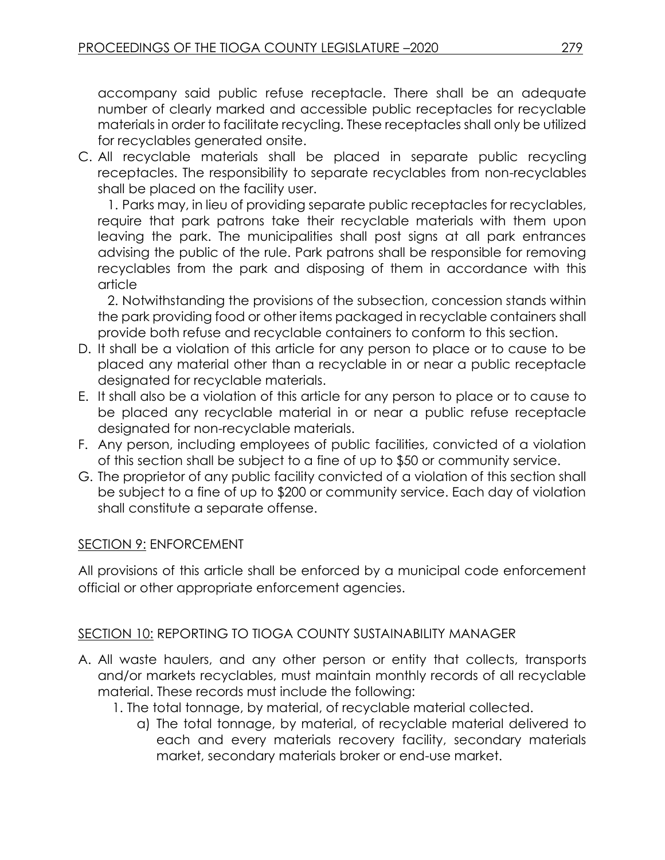accompany said public refuse receptacle. There shall be an adequate number of clearly marked and accessible public receptacles for recyclable materials in order to facilitate recycling. These receptacles shall only be utilized for recyclables generated onsite.

C. All recyclable materials shall be placed in separate public recycling receptacles. The responsibility to separate recyclables from non-recyclables shall be placed on the facility user.

1. Parks may, in lieu of providing separate public receptacles for recyclables, require that park patrons take their recyclable materials with them upon leaving the park. The municipalities shall post signs at all park entrances advising the public of the rule. Park patrons shall be responsible for removing recyclables from the park and disposing of them in accordance with this article

2. Notwithstanding the provisions of the subsection, concession stands within the park providing food or other items packaged in recyclable containers shall provide both refuse and recyclable containers to conform to this section.

- D. It shall be a violation of this article for any person to place or to cause to be placed any material other than a recyclable in or near a public receptacle designated for recyclable materials.
- E. It shall also be a violation of this article for any person to place or to cause to be placed any recyclable material in or near a public refuse receptacle designated for non-recyclable materials.
- F. Any person, including employees of public facilities, convicted of a violation of this section shall be subject to a fine of up to \$50 or community service.
- G. The proprietor of any public facility convicted of a violation of this section shall be subject to a fine of up to \$200 or community service. Each day of violation shall constitute a separate offense.

### SECTION 9: ENFORCEMENT

All provisions of this article shall be enforced by a municipal code enforcement official or other appropriate enforcement agencies.

#### SECTION 10: REPORTING TO TIOGA COUNTY SUSTAINABILITY MANAGER

- A. All waste haulers, and any other person or entity that collects, transports and/or markets recyclables, must maintain monthly records of all recyclable material. These records must include the following:
	- 1. The total tonnage, by material, of recyclable material collected.
		- a) The total tonnage, by material, of recyclable material delivered to each and every materials recovery facility, secondary materials market, secondary materials broker or end-use market.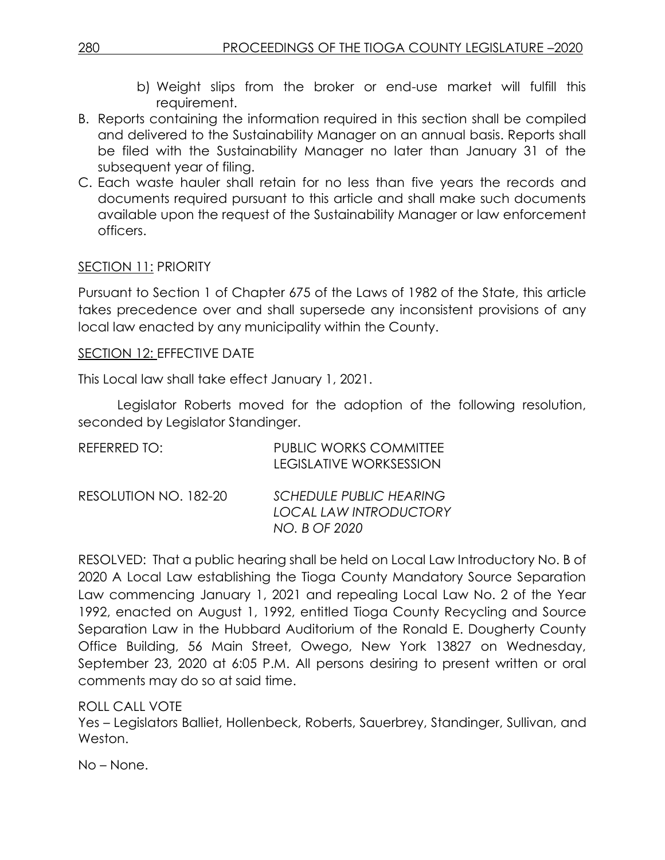- b) Weight slips from the broker or end-use market will fulfill this requirement.
- B. Reports containing the information required in this section shall be compiled and delivered to the Sustainability Manager on an annual basis. Reports shall be filed with the Sustainability Manager no later than January 31 of the subsequent year of filing.
- C. Each waste hauler shall retain for no less than five years the records and documents required pursuant to this article and shall make such documents available upon the request of the Sustainability Manager or law enforcement officers.

#### SECTION 11: PRIORITY

Pursuant to Section 1 of Chapter 675 of the Laws of 1982 of the State, this article takes precedence over and shall supersede any inconsistent provisions of any local law enacted by any municipality within the County.

#### SECTION 12: EFFECTIVE DATE

This Local law shall take effect January 1, 2021.

Legislator Roberts moved for the adoption of the following resolution, seconded by Legislator Standinger.

| REFERRED TO:          | <b>PUBLIC WORKS COMMITTEE</b><br><b>LEGISLATIVE WORKSESSION</b>                  |
|-----------------------|----------------------------------------------------------------------------------|
| RESOLUTION NO. 182-20 | <b>SCHEDULE PUBLIC HEARING</b><br><b>LOCAL LAW INTRODUCTORY</b><br>NO. B OF 2020 |

RESOLVED: That a public hearing shall be held on Local Law Introductory No. B of 2020 A Local Law establishing the Tioga County Mandatory Source Separation Law commencing January 1, 2021 and repealing Local Law No. 2 of the Year 1992, enacted on August 1, 1992, entitled Tioga County Recycling and Source Separation Law in the Hubbard Auditorium of the Ronald E. Dougherty County Office Building, 56 Main Street, Owego, New York 13827 on Wednesday, September 23, 2020 at 6:05 P.M. All persons desiring to present written or oral comments may do so at said time.

ROLL CALL VOTE

Yes – Legislators Balliet, Hollenbeck, Roberts, Sauerbrey, Standinger, Sullivan, and Weston.

No – None.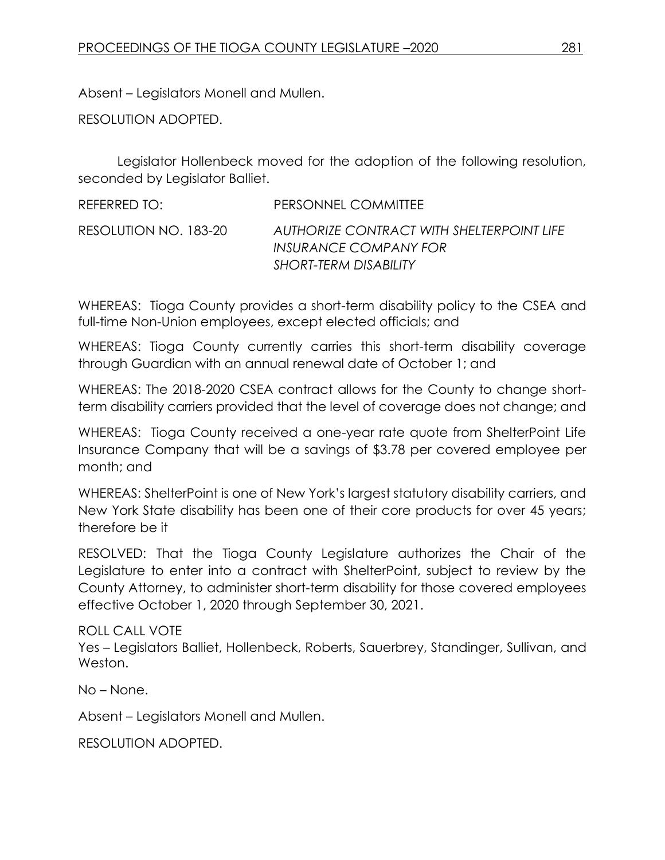Absent – Legislators Monell and Mullen.

RESOLUTION ADOPTED.

Legislator Hollenbeck moved for the adoption of the following resolution, seconded by Legislator Balliet.

| REFERRED TO:          | PERSONNEL COMMITTEE                                                                         |
|-----------------------|---------------------------------------------------------------------------------------------|
| RESOLUTION NO. 183-20 | AUTHORIZE CONTRACT WITH SHELTERPOINT LIFE<br>INSURANCE COMPANY FOR<br>SHORT-TERM DISABILITY |

WHEREAS: Tioga County provides a short-term disability policy to the CSEA and full-time Non-Union employees, except elected officials; and

WHEREAS: Tioga County currently carries this short-term disability coverage through Guardian with an annual renewal date of October 1; and

WHEREAS: The 2018-2020 CSEA contract allows for the County to change shortterm disability carriers provided that the level of coverage does not change; and

WHEREAS: Tioga County received a one-year rate quote from ShelterPoint Life Insurance Company that will be a savings of \$3.78 per covered employee per month; and

WHEREAS: ShelterPoint is one of New York's largest statutory disability carriers, and New York State disability has been one of their core products for over 45 years; therefore be it

RESOLVED: That the Tioga County Legislature authorizes the Chair of the Legislature to enter into a contract with ShelterPoint, subject to review by the County Attorney, to administer short-term disability for those covered employees effective October 1, 2020 through September 30, 2021.

ROLL CALL VOTE Yes – Legislators Balliet, Hollenbeck, Roberts, Sauerbrey, Standinger, Sullivan, and Weston.

No – None.

Absent – Legislators Monell and Mullen.

RESOLUTION ADOPTED.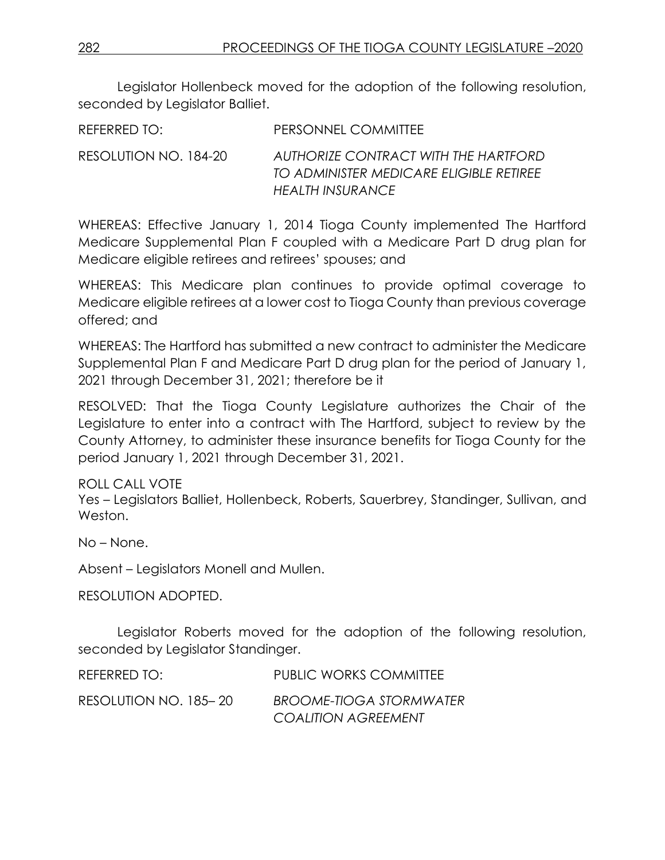Legislator Hollenbeck moved for the adoption of the following resolution, seconded by Legislator Balliet.

| REFERRED TO:          | PERSONNEL COMMITTEE                                                                                 |
|-----------------------|-----------------------------------------------------------------------------------------------------|
| RESOLUTION NO. 184-20 | AUTHORIZE CONTRACT WITH THE HARTFORD<br>TO ADMINISTER MEDICARE ELIGIBLE RETIREE<br>HEALTH INSURANCE |

WHEREAS: Effective January 1, 2014 Tioga County implemented The Hartford Medicare Supplemental Plan F coupled with a Medicare Part D drug plan for Medicare eligible retirees and retirees' spouses; and

WHEREAS: This Medicare plan continues to provide optimal coverage to Medicare eligible retirees at a lower cost to Tioga County than previous coverage offered; and

WHEREAS: The Hartford has submitted a new contract to administer the Medicare Supplemental Plan F and Medicare Part D drug plan for the period of January 1, 2021 through December 31, 2021; therefore be it

RESOLVED: That the Tioga County Legislature authorizes the Chair of the Legislature to enter into a contract with The Hartford, subject to review by the County Attorney, to administer these insurance benefits for Tioga County for the period January 1, 2021 through December 31, 2021.

ROLL CALL VOTE Yes – Legislators Balliet, Hollenbeck, Roberts, Sauerbrey, Standinger, Sullivan, and Weston.

No – None.

Absent – Legislators Monell and Mullen.

RESOLUTION ADOPTED.

Legislator Roberts moved for the adoption of the following resolution, seconded by Legislator Standinger.

| REFERRED TO:          | <b>PUBLIC WORKS COMMITTEE</b>                                |
|-----------------------|--------------------------------------------------------------|
| RESOLUTION NO. 185–20 | <b>BROOME-TIOGA STORMWATER</b><br><b>COALITION AGREEMENT</b> |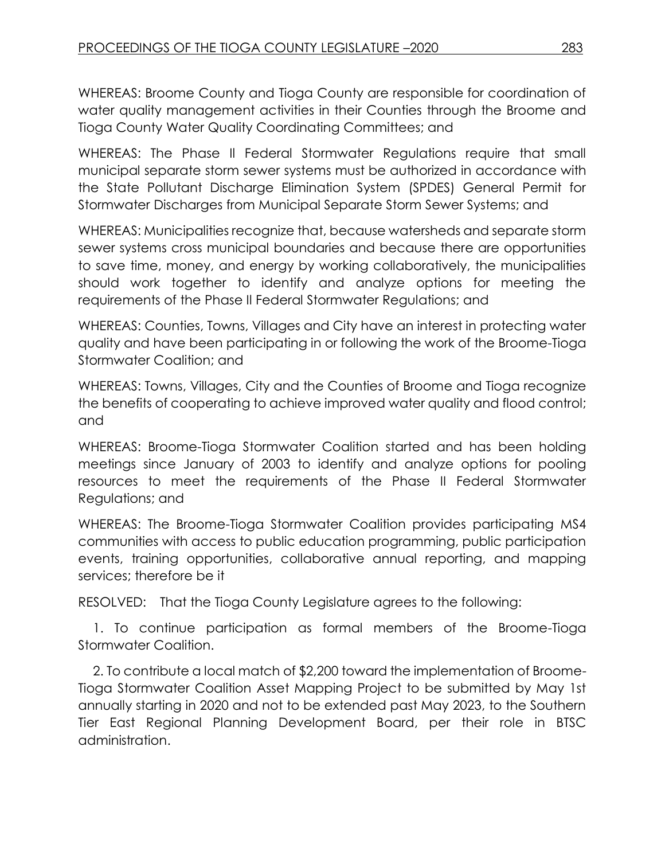WHEREAS: Broome County and Tioga County are responsible for coordination of water quality management activities in their Counties through the Broome and Tioga County Water Quality Coordinating Committees; and

WHEREAS: The Phase Il Federal Stormwater Regulations require that small municipal separate storm sewer systems must be authorized in accordance with the State Pollutant Discharge Elimination System (SPDES) General Permit for Stormwater Discharges from Municipal Separate Storm Sewer Systems; and

WHEREAS: Municipalities recognize that, because watersheds and separate storm sewer systems cross municipal boundaries and because there are opportunities to save time, money, and energy by working collaboratively, the municipalities should work together to identify and analyze options for meeting the requirements of the Phase Il Federal Stormwater Regulations; and

WHEREAS: Counties, Towns, Villages and City have an interest in protecting water quality and have been participating in or following the work of the Broome-Tioga Stormwater Coalition; and

WHEREAS: Towns, Villages, City and the Counties of Broome and Tioga recognize the benefits of cooperating to achieve improved water quality and flood control; and

WHEREAS: Broome-Tioga Stormwater Coalition started and has been holding meetings since January of 2003 to identify and analyze options for pooling resources to meet the requirements of the Phase II Federal Stormwater Regulations; and

WHEREAS: The Broome-Tioga Stormwater Coalition provides participating MS4 communities with access to public education programming, public participation events, training opportunities, collaborative annual reporting, and mapping services; therefore be it

RESOLVED: That the Tioga County Legislature agrees to the following:

1. To continue participation as formal members of the Broome-Tioga Stormwater Coalition.

2. To contribute a local match of \$2,200 toward the implementation of Broome-Tioga Stormwater Coalition Asset Mapping Project to be submitted by May 1st annually starting in 2020 and not to be extended past May 2023, to the Southern Tier East Regional Planning Development Board, per their role in BTSC administration.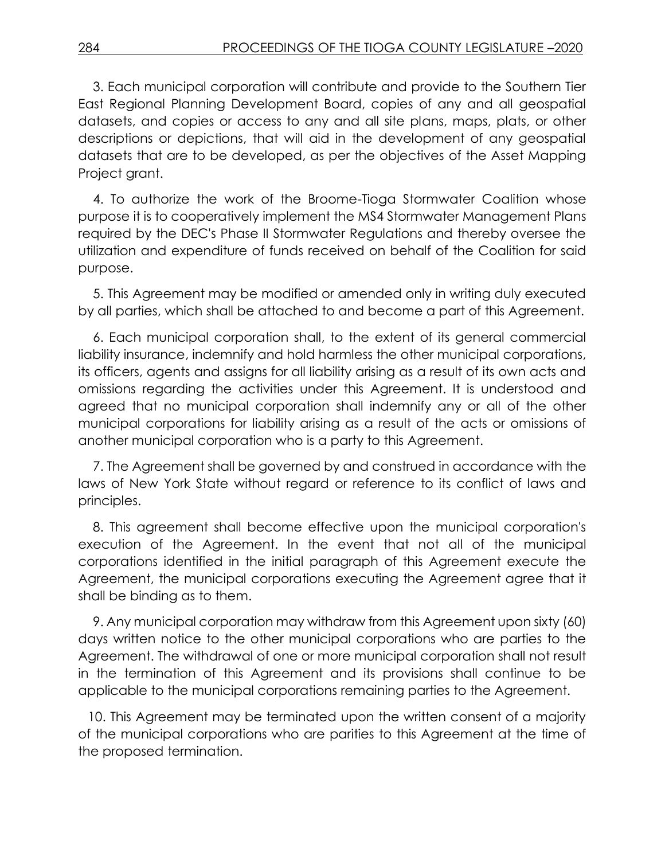3. Each municipal corporation will contribute and provide to the Southern Tier East Regional Planning Development Board, copies of any and all geospatial datasets, and copies or access to any and all site plans, maps, plats, or other descriptions or depictions, that will aid in the development of any geospatial datasets that are to be developed, as per the objectives of the Asset Mapping Project grant.

4. To authorize the work of the Broome-Tioga Stormwater Coalition whose purpose it is to cooperatively implement the MS4 Stormwater Management Plans required by the DEC's Phase II Stormwater Regulations and thereby oversee the utilization and expenditure of funds received on behalf of the Coalition for said purpose.

5. This Agreement may be modified or amended only in writing duly executed by all parties, which shall be attached to and become a part of this Agreement.

6. Each municipal corporation shall, to the extent of its general commercial liability insurance, indemnify and hold harmless the other municipal corporations, its officers, agents and assigns for all liability arising as a result of its own acts and omissions regarding the activities under this Agreement. It is understood and agreed that no municipal corporation shall indemnify any or all of the other municipal corporations for liability arising as a result of the acts or omissions of another municipal corporation who is a party to this Agreement.

7. The Agreement shall be governed by and construed in accordance with the laws of New York State without regard or reference to its conflict of laws and principles.

8. This agreement shall become effective upon the municipal corporation's execution of the Agreement. In the event that not all of the municipal corporations identified in the initial paragraph of this Agreement execute the Agreement, the municipal corporations executing the Agreement agree that it shall be binding as to them.

9. Any municipal corporation may withdraw from this Agreement upon sixty (60) days written notice to the other municipal corporations who are parties to the Agreement. The withdrawal of one or more municipal corporation shall not result in the termination of this Agreement and its provisions shall continue to be applicable to the municipal corporations remaining parties to the Agreement.

10. This Agreement may be terminated upon the written consent of a majority of the municipal corporations who are parities to this Agreement at the time of the proposed termination.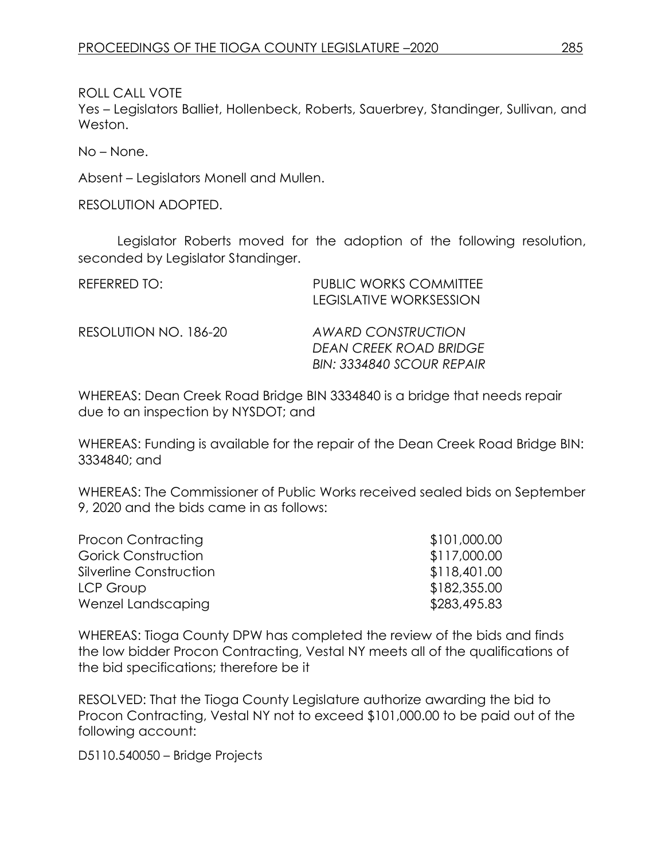ROLL CALL VOTE

Yes – Legislators Balliet, Hollenbeck, Roberts, Sauerbrey, Standinger, Sullivan, and Weston.

No – None.

Absent – Legislators Monell and Mullen.

RESOLUTION ADOPTED.

Legislator Roberts moved for the adoption of the following resolution, seconded by Legislator Standinger.

| REFERRED TO:          | <b>PUBLIC WORKS COMMITTEE</b><br>LEGISLATIVE WORKSESSION                                |
|-----------------------|-----------------------------------------------------------------------------------------|
| RESOLUTION NO. 186-20 | <b>AWARD CONSTRUCTION</b><br><b>DEAN CREEK ROAD BRIDGE</b><br>BIN: 3334840 SCOUR REPAIR |

WHEREAS: Dean Creek Road Bridge BIN 3334840 is a bridge that needs repair due to an inspection by NYSDOT; and

WHEREAS: Funding is available for the repair of the Dean Creek Road Bridge BIN: 3334840; and

WHEREAS: The Commissioner of Public Works received sealed bids on September 9, 2020 and the bids came in as follows:

| Procon Contracting      | \$101,000.00 |
|-------------------------|--------------|
| Gorick Construction     | \$117,000.00 |
| Silverline Construction | \$118,401.00 |
| LCP Group               | \$182,355.00 |
| Wenzel Landscaping      | \$283,495.83 |

WHEREAS: Tioga County DPW has completed the review of the bids and finds the low bidder Procon Contracting, Vestal NY meets all of the qualifications of the bid specifications; therefore be it

RESOLVED: That the Tioga County Legislature authorize awarding the bid to Procon Contracting, Vestal NY not to exceed \$101,000.00 to be paid out of the following account:

D5110.540050 – Bridge Projects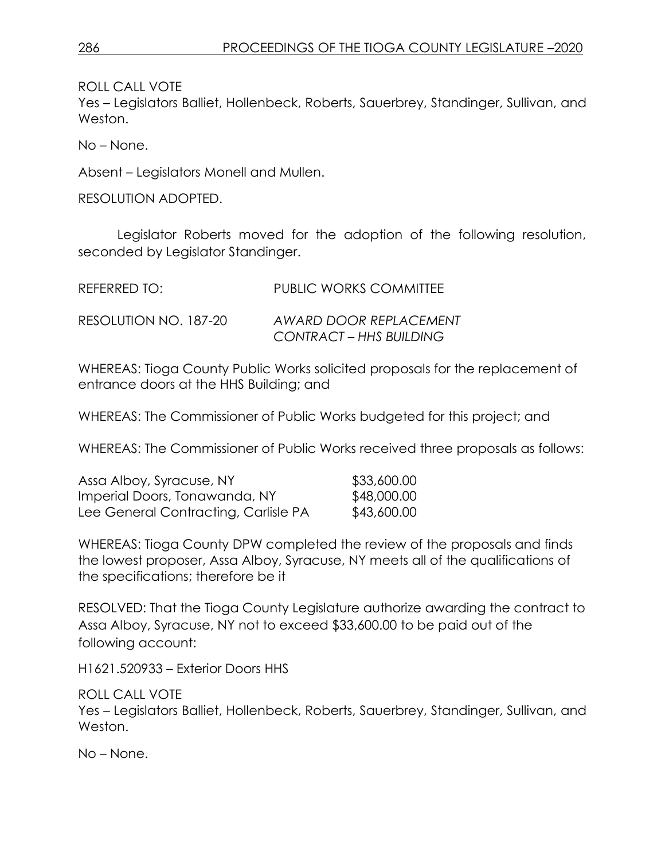ROLL CALL VOTE

Yes – Legislators Balliet, Hollenbeck, Roberts, Sauerbrey, Standinger, Sullivan, and Weston.

No – None.

Absent – Legislators Monell and Mullen.

RESOLUTION ADOPTED.

Legislator Roberts moved for the adoption of the following resolution, seconded by Legislator Standinger.

| REFERRED TO:          | <b>PUBLIC WORKS COMMITTEE</b>                     |
|-----------------------|---------------------------------------------------|
| RESOLUTION NO. 187-20 | AWARD DOOR REPLACEMENT<br>CONTRACT – HHS BUILDING |

WHEREAS: Tioga County Public Works solicited proposals for the replacement of entrance doors at the HHS Building; and

WHEREAS: The Commissioner of Public Works budgeted for this project; and

WHEREAS: The Commissioner of Public Works received three proposals as follows:

| Assa Alboy, Syracuse, NY             | \$33,600.00 |
|--------------------------------------|-------------|
| Imperial Doors, Tonawanda, NY        | \$48,000.00 |
| Lee General Contracting, Carlisle PA | \$43,600.00 |

WHEREAS: Tioga County DPW completed the review of the proposals and finds the lowest proposer, Assa Alboy, Syracuse, NY meets all of the qualifications of the specifications; therefore be it

RESOLVED: That the Tioga County Legislature authorize awarding the contract to Assa Alboy, Syracuse, NY not to exceed \$33,600.00 to be paid out of the following account:

H1621.520933 – Exterior Doors HHS

ROLL CALL VOTE Yes – Legislators Balliet, Hollenbeck, Roberts, Sauerbrey, Standinger, Sullivan, and Weston.

No – None.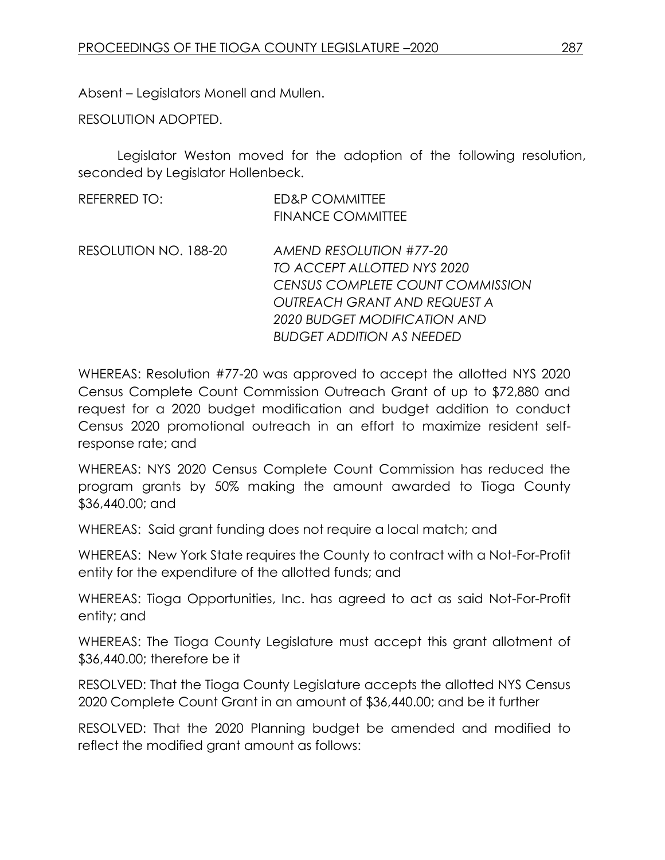Absent – Legislators Monell and Mullen.

RESOLUTION ADOPTED.

Legislator Weston moved for the adoption of the following resolution, seconded by Legislator Hollenbeck.

| <b>REFERRED TO:</b>   | <b>ED&amp;P COMMITTEE</b>               |
|-----------------------|-----------------------------------------|
|                       | <b>FINANCE COMMITTEE</b>                |
| RESOLUTION NO. 188-20 | AMEND RESOLUTION #77-20                 |
|                       | TO ACCEPT ALLOTTED NYS 2020             |
|                       | <b>CENSUS COMPLETE COUNT COMMISSION</b> |
|                       | <b>OUTREACH GRANT AND REQUEST A</b>     |
|                       | 2020 BUDGET MODIFICATION AND            |
|                       | <b>BUDGET ADDITION AS NEEDED</b>        |

WHEREAS: Resolution #77-20 was approved to accept the allotted NYS 2020 Census Complete Count Commission Outreach Grant of up to \$72,880 and request for a 2020 budget modification and budget addition to conduct Census 2020 promotional outreach in an effort to maximize resident selfresponse rate; and

WHEREAS: NYS 2020 Census Complete Count Commission has reduced the program grants by 50% making the amount awarded to Tioga County \$36,440.00; and

WHEREAS: Said grant funding does not require a local match; and

WHEREAS: New York State requires the County to contract with a Not-For-Profit entity for the expenditure of the allotted funds; and

WHEREAS: Tioga Opportunities, Inc. has agreed to act as said Not-For-Profit entity; and

WHEREAS: The Tioga County Legislature must accept this grant allotment of \$36,440.00; therefore be it

RESOLVED: That the Tioga County Legislature accepts the allotted NYS Census 2020 Complete Count Grant in an amount of \$36,440.00; and be it further

RESOLVED: That the 2020 Planning budget be amended and modified to reflect the modified grant amount as follows: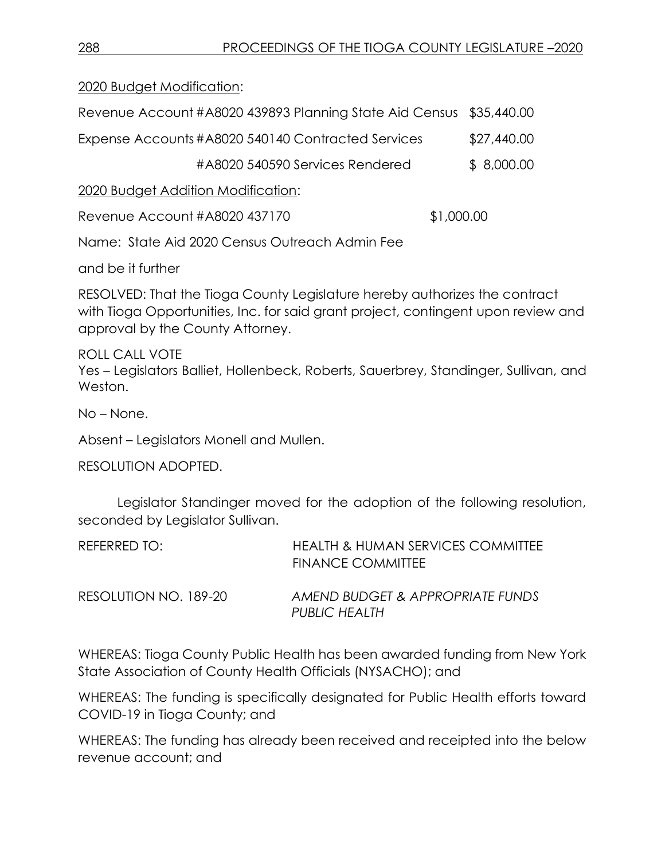2020 Budget Modification:

| Revenue Account #A8020 439893 Planning State Aid Census \$35,440.00 |             |
|---------------------------------------------------------------------|-------------|
| Expense Accounts #A8020 540140 Contracted Services                  | \$27,440.00 |
| #A8020 540590 Services Rendered                                     | \$8,000.00  |
| 2020 Budget Addition Modification:                                  |             |
| Revenue Account #A8020 437170                                       | \$1,000.00  |
| Name: State Aid 2020 Census Outreach Admin Fee                      |             |

and be it further

RESOLVED: That the Tioga County Legislature hereby authorizes the contract with Tioga Opportunities, Inc. for said grant project, contingent upon review and approval by the County Attorney.

ROLL CALL VOTE Yes – Legislators Balliet, Hollenbeck, Roberts, Sauerbrey, Standinger, Sullivan, and Weston.

No – None.

Absent – Legislators Monell and Mullen.

RESOLUTION ADOPTED.

Legislator Standinger moved for the adoption of the following resolution, seconded by Legislator Sullivan.

| REFERRED TO:          | <b>HEALTH &amp; HUMAN SERVICES COMMITTEE</b><br><b>FINANCE COMMITTEE</b> |
|-----------------------|--------------------------------------------------------------------------|
| RESOLUTION NO. 189-20 | AMEND BUDGET & APPROPRIATE FUNDS<br>PUBLIC HEALTH                        |

WHEREAS: Tioga County Public Health has been awarded funding from New York State Association of County Health Officials (NYSACHO); and

WHEREAS: The funding is specifically designated for Public Health efforts toward COVID-19 in Tioga County; and

WHEREAS: The funding has already been received and receipted into the below revenue account; and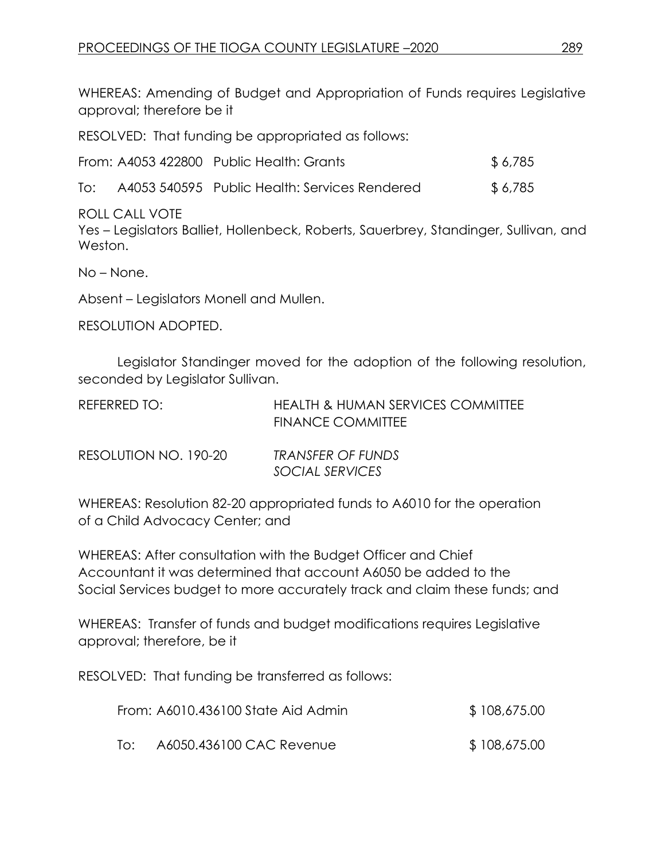WHEREAS: Amending of Budget and Appropriation of Funds requires Legislative approval; therefore be it

RESOLVED: That funding be appropriated as follows:

| From: A4053 422800 Public Health: Grants |  | \$6,785 |
|------------------------------------------|--|---------|
|------------------------------------------|--|---------|

| To: |  | A4053 540595 Public Health: Services Rendered | \$6,785 |
|-----|--|-----------------------------------------------|---------|
|-----|--|-----------------------------------------------|---------|

ROLL CALL VOTE

Yes – Legislators Balliet, Hollenbeck, Roberts, Sauerbrey, Standinger, Sullivan, and Weston.

No – None.

Absent – Legislators Monell and Mullen.

RESOLUTION ADOPTED.

Legislator Standinger moved for the adoption of the following resolution, seconded by Legislator Sullivan.

| REFERRED TO:            | <b>HEALTH &amp; HUMAN SERVICES COMMITTEE</b>                                                                                                                                                            |
|-------------------------|---------------------------------------------------------------------------------------------------------------------------------------------------------------------------------------------------------|
|                         | <b>FINANCE COMMITTEE</b>                                                                                                                                                                                |
| DFCOMIITIONI AIO 100.00 | $T_{\mathsf{D}}$ in interface $\bigcap_{\mathsf{D}} \bigcap_{\mathsf{D}} \bigcap_{\mathsf{D}} \bigcap_{\mathsf{D}} \bigcap_{\mathsf{D}} \bigcap_{\mathsf{D}} \bigcap_{\mathsf{D}} \bigcap_{\mathsf{D}}$ |

| RESOLUTION NO. 190-20 | <b>TRANSFER OF FUNDS</b> |
|-----------------------|--------------------------|
|                       | SOCIAL SERVICES          |

WHEREAS: Resolution 82-20 appropriated funds to A6010 for the operation of a Child Advocacy Center; and

WHEREAS: After consultation with the Budget Officer and Chief Accountant it was determined that account A6050 be added to the Social Services budget to more accurately track and claim these funds; and

WHEREAS: Transfer of funds and budget modifications requires Legislative approval; therefore, be it

RESOLVED: That funding be transferred as follows:

|     | From: A6010.436100 State Aid Admin | \$108,675.00 |
|-----|------------------------------------|--------------|
| TO: | A6050.436100 CAC Revenue           | \$108,675.00 |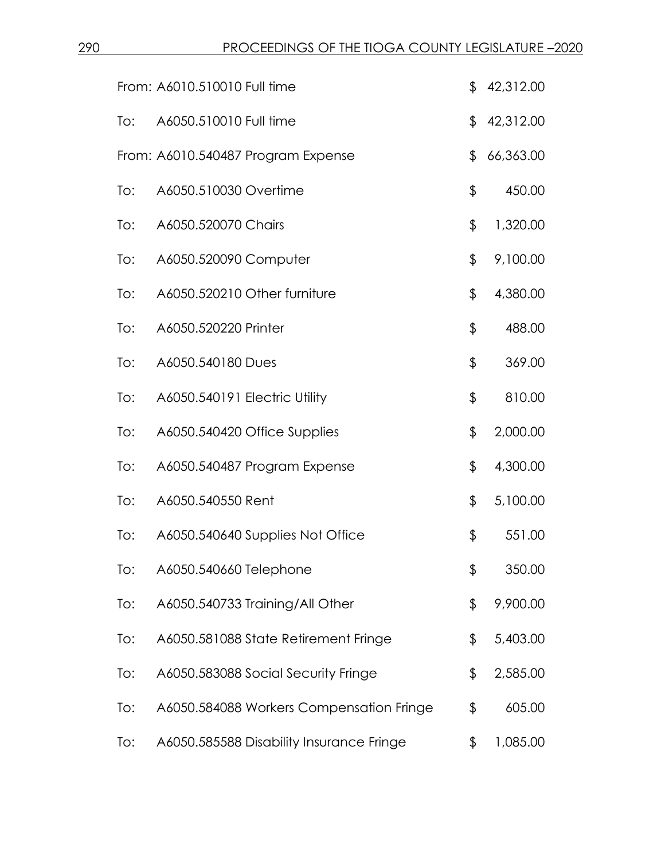|     | From: A6010.510010 Full time             | \$            | 42,312.00 |
|-----|------------------------------------------|---------------|-----------|
| To: | A6050.510010 Full time                   | \$            | 42,312.00 |
|     | From: A6010.540487 Program Expense       | \$            | 66,363.00 |
| To: | A6050.510030 Overtime                    | \$            | 450.00    |
| To: | A6050.520070 Chairs                      | \$            | 1,320.00  |
| To: | A6050.520090 Computer                    | $\frac{1}{2}$ | 9,100.00  |
| To: | A6050.520210 Other furniture             | \$            | 4,380.00  |
| To: | A6050.520220 Printer                     | \$            | 488.00    |
| To: | A6050.540180 Dues                        | \$            | 369.00    |
| To: | A6050.540191 Electric Utility            | \$            | 810.00    |
| To: | A6050.540420 Office Supplies             | \$            | 2,000.00  |
| To: | A6050.540487 Program Expense             | \$            | 4,300.00  |
| To: | A6050.540550 Rent                        | \$            | 5,100.00  |
| To: | A6050.540640 Supplies Not Office         | \$            | 551.00    |
| To: | A6050.540660 Telephone                   | \$            | 350.00    |
| To: | A6050.540733 Training/All Other          | \$            | 9,900.00  |
| To: | A6050.581088 State Retirement Fringe     | \$            | 5,403.00  |
| To: | A6050.583088 Social Security Fringe      | \$            | 2,585.00  |
| To: | A6050.584088 Workers Compensation Fringe | \$            | 605.00    |
| To: | A6050.585588 Disability Insurance Fringe | \$            | 1,085.00  |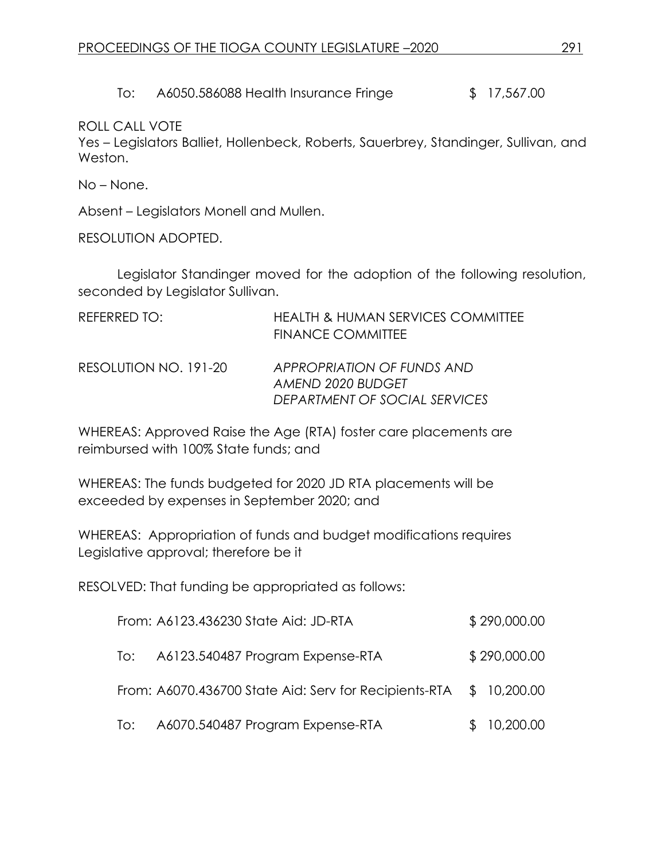To: A6050.586088 Health Insurance Fringe  $$17,567.00$ 

ROLL CALL VOTE

Yes – Legislators Balliet, Hollenbeck, Roberts, Sauerbrey, Standinger, Sullivan, and Weston.

No – None.

Absent – Legislators Monell and Mullen.

RESOLUTION ADOPTED.

Legislator Standinger moved for the adoption of the following resolution, seconded by Legislator Sullivan.

| REFERRED TO:          | <b>HEALTH &amp; HUMAN SERVICES COMMITTEE</b><br><b>FINANCE COMMITTEE</b>         |
|-----------------------|----------------------------------------------------------------------------------|
| RESOLUTION NO. 191-20 | APPROPRIATION OF FUNDS AND<br>AMEND 2020 BUDGET<br>DEPARTMENT OF SOCIAL SERVICES |

WHEREAS: Approved Raise the Age (RTA) foster care placements are reimbursed with 100% State funds; and

WHEREAS: The funds budgeted for 2020 JD RTA placements will be exceeded by expenses in September 2020; and

WHEREAS: Appropriation of funds and budget modifications requires Legislative approval; therefore be it

RESOLVED: That funding be appropriated as follows:

|     | From: A6123.436230 State Aid: JD-RTA                               | \$290,000.00 |
|-----|--------------------------------------------------------------------|--------------|
| To: | A6123.540487 Program Expense-RTA                                   | \$290,000.00 |
|     | From: A6070.436700 State Aid: Serv for Recipients-RTA \$ 10,200.00 |              |
|     | To: A6070.540487 Program Expense-RTA                               | \$10,200.00  |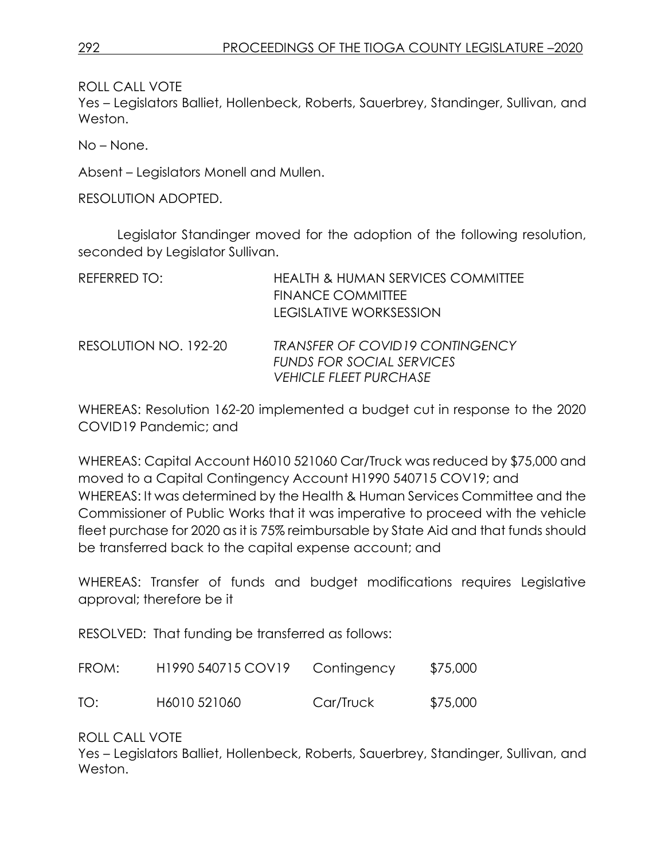ROLL CALL VOTE

Yes – Legislators Balliet, Hollenbeck, Roberts, Sauerbrey, Standinger, Sullivan, and Weston.

No – None.

Absent – Legislators Monell and Mullen.

RESOLUTION ADOPTED.

Legislator Standinger moved for the adoption of the following resolution, seconded by Legislator Sullivan.

| REFERRED TO:          | <b>HEALTH &amp; HUMAN SERVICES COMMITTEE</b><br><b>FINANCE COMMITTEE</b><br><b>LEGISLATIVE WORKSESSION</b>  |
|-----------------------|-------------------------------------------------------------------------------------------------------------|
| RESOLUTION NO. 192-20 | <b>TRANSFER OF COVID19 CONTINGENCY</b><br><b>FUNDS FOR SOCIAL SERVICES</b><br><b>VEHICLE FLEET PURCHASE</b> |

WHEREAS: Resolution 162-20 implemented a budget cut in response to the 2020 COVID19 Pandemic; and

WHEREAS: Capital Account H6010 521060 Car/Truck was reduced by \$75,000 and moved to a Capital Contingency Account H1990 540715 COV19; and WHEREAS: It was determined by the Health & Human Services Committee and the Commissioner of Public Works that it was imperative to proceed with the vehicle fleet purchase for 2020 as it is 75% reimbursable by State Aid and that funds should be transferred back to the capital expense account; and

WHEREAS: Transfer of funds and budget modifications requires Legislative approval; therefore be it

RESOLVED: That funding be transferred as follows:

| FROM: | H <sub>1990</sub> 540715 COV <sub>19</sub> | Contingency | \$75,000 |
|-------|--------------------------------------------|-------------|----------|
| TO:   | H6010 521060                               | Car/Truck   | \$75,000 |

ROLL CALL VOTE

Yes – Legislators Balliet, Hollenbeck, Roberts, Sauerbrey, Standinger, Sullivan, and Weston.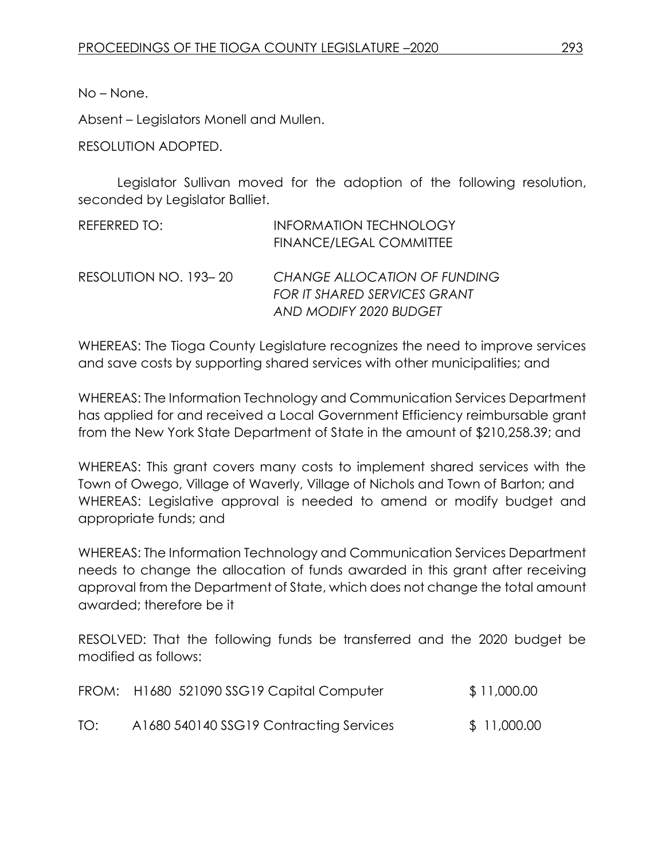No – None.

Absent – Legislators Monell and Mullen.

RESOLUTION ADOPTED.

Legislator Sullivan moved for the adoption of the following resolution, seconded by Legislator Balliet.

| REFERRED TO:          | <b>INFORMATION TECHNOLOGY</b><br><b>FINANCE/LEGAL COMMITTEE</b>     |
|-----------------------|---------------------------------------------------------------------|
| RESOLUTION NO. 193-20 | CHANGE ALLOCATION OF FUNDING<br><b>FOR IT SHARED SERVICES GRANT</b> |
|                       | AND MODIFY 2020 BUDGET                                              |

WHEREAS: The Tioga County Legislature recognizes the need to improve services and save costs by supporting shared services with other municipalities; and

WHEREAS: The Information Technology and Communication Services Department has applied for and received a Local Government Efficiency reimbursable grant from the New York State Department of State in the amount of \$210,258.39; and

WHEREAS: This grant covers many costs to implement shared services with the Town of Owego, Village of Waverly, Village of Nichols and Town of Barton; and WHEREAS: Legislative approval is needed to amend or modify budget and appropriate funds; and

WHEREAS: The Information Technology and Communication Services Department needs to change the allocation of funds awarded in this grant after receiving approval from the Department of State, which does not change the total amount awarded; therefore be it

RESOLVED: That the following funds be transferred and the 2020 budget be modified as follows:

|     | FROM: H1680 521090 SSG19 Capital Computer | \$11,000.00  |
|-----|-------------------------------------------|--------------|
| TO: | A1680 540140 SSG19 Contracting Services   | \$ 11,000.00 |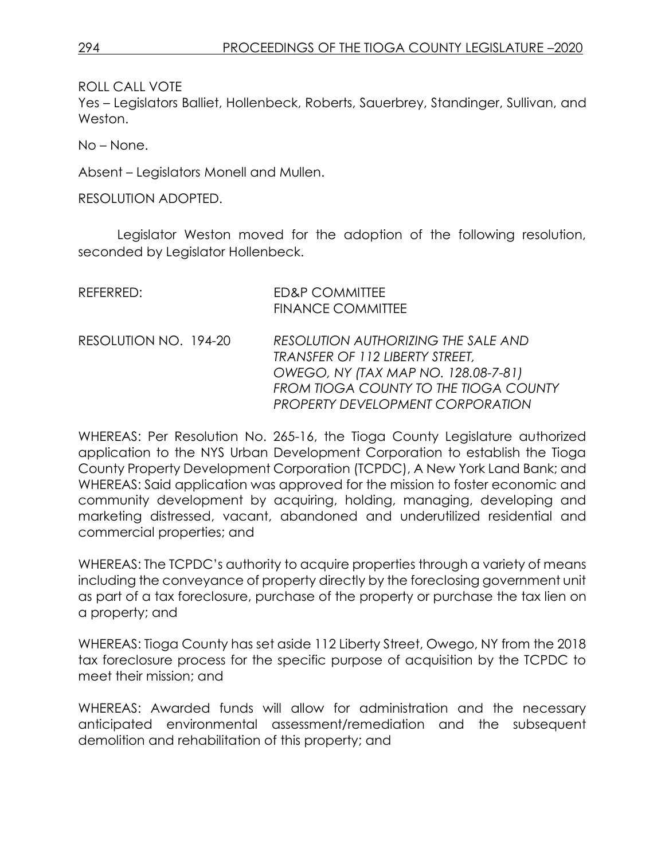ROLL CALL VOTE

Yes – Legislators Balliet, Hollenbeck, Roberts, Sauerbrey, Standinger, Sullivan, and Weston.

No – None.

Absent – Legislators Monell and Mullen.

RESOLUTION ADOPTED.

Legislator Weston moved for the adoption of the following resolution, seconded by Legislator Hollenbeck.

| REFERRED:             | <b>ED&amp;P COMMITTEE</b><br><b>FINANCE COMMITTEE</b>                                                                                                                                             |
|-----------------------|---------------------------------------------------------------------------------------------------------------------------------------------------------------------------------------------------|
| RESOLUTION NO. 194-20 | RESOLUTION AUTHORIZING THE SALE AND<br>TRANSFER OF 112 LIBERTY STREET,<br>OWEGO, NY (TAX MAP NO. 128.08-7-81)<br>FROM TIOGA COUNTY TO THE TIOGA COUNTY<br><b>PROPERTY DEVELOPMENT CORPORATION</b> |

WHEREAS: Per Resolution No. 265-16, the Tioga County Legislature authorized application to the NYS Urban Development Corporation to establish the Tioga County Property Development Corporation (TCPDC), A New York Land Bank; and WHEREAS: Said application was approved for the mission to foster economic and community development by acquiring, holding, managing, developing and marketing distressed, vacant, abandoned and underutilized residential and commercial properties; and

WHEREAS: The TCPDC's authority to acquire properties through a variety of means including the conveyance of property directly by the foreclosing government unit as part of a tax foreclosure, purchase of the property or purchase the tax lien on a property; and

WHEREAS: Tioga County has set aside 112 Liberty Street, Owego, NY from the 2018 tax foreclosure process for the specific purpose of acquisition by the TCPDC to meet their mission; and

WHEREAS: Awarded funds will allow for administration and the necessary anticipated environmental assessment/remediation and the subsequent demolition and rehabilitation of this property; and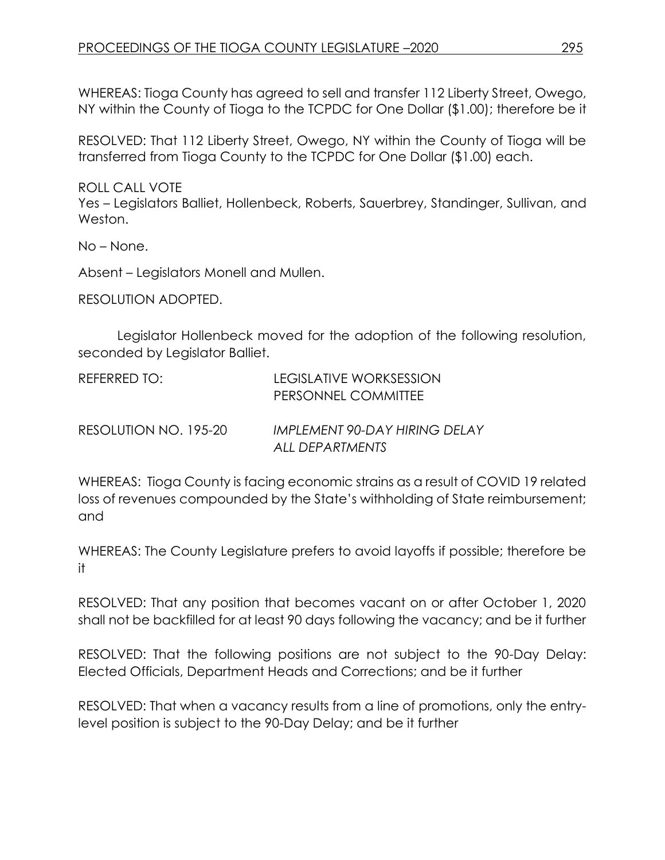WHEREAS: Tioga County has agreed to sell and transfer 112 Liberty Street, Owego, NY within the County of Tioga to the TCPDC for One Dollar (\$1.00); therefore be it

RESOLVED: That 112 Liberty Street, Owego, NY within the County of Tioga will be transferred from Tioga County to the TCPDC for One Dollar (\$1.00) each.

ROLL CALL VOTE

Yes – Legislators Balliet, Hollenbeck, Roberts, Sauerbrey, Standinger, Sullivan, and Weston.

No – None.

Absent – Legislators Monell and Mullen.

RESOLUTION ADOPTED.

Legislator Hollenbeck moved for the adoption of the following resolution, seconded by Legislator Balliet.

| REFERRED TO:          | LEGISLATIVE WORKSESSION<br>PERSONNEL COMMITTEE   |
|-----------------------|--------------------------------------------------|
| RESOLUTION NO. 195-20 | IMPLEMENT 90-DAY HIRING DELAY<br>ALL DEPARTMENTS |

WHEREAS: Tioga County is facing economic strains as a result of COVID 19 related loss of revenues compounded by the State's withholding of State reimbursement; and

WHEREAS: The County Legislature prefers to avoid layoffs if possible; therefore be it

RESOLVED: That any position that becomes vacant on or after October 1, 2020 shall not be backfilled for at least 90 days following the vacancy; and be it further

RESOLVED: That the following positions are not subject to the 90-Day Delay: Elected Officials, Department Heads and Corrections; and be it further

RESOLVED: That when a vacancy results from a line of promotions, only the entrylevel position is subject to the 90-Day Delay; and be it further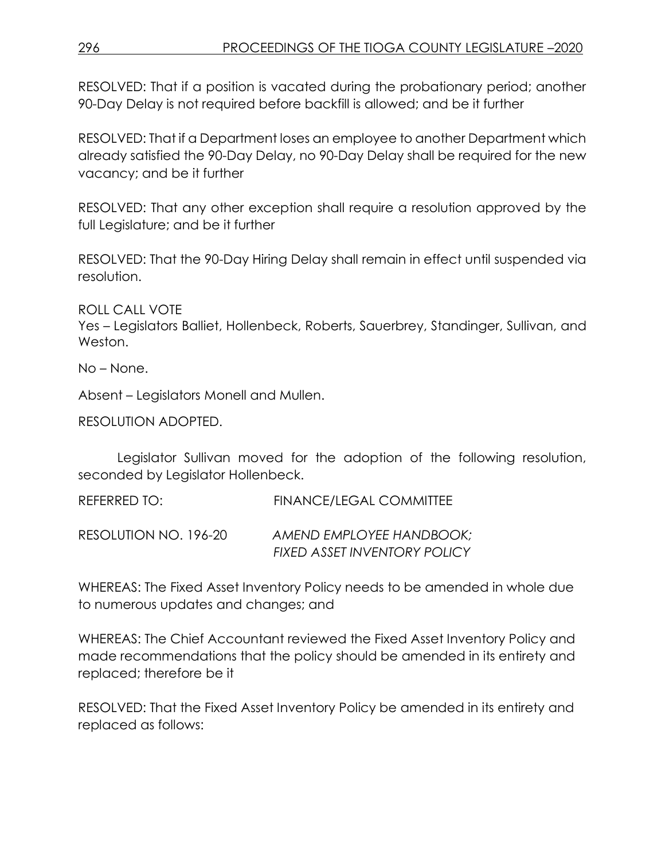RESOLVED: That if a position is vacated during the probationary period; another 90-Day Delay is not required before backfill is allowed; and be it further

RESOLVED: That if a Department loses an employee to another Department which already satisfied the 90-Day Delay, no 90-Day Delay shall be required for the new vacancy; and be it further

RESOLVED: That any other exception shall require a resolution approved by the full Legislature; and be it further

RESOLVED: That the 90-Day Hiring Delay shall remain in effect until suspended via resolution.

ROLL CALL VOTE

Yes – Legislators Balliet, Hollenbeck, Roberts, Sauerbrey, Standinger, Sullivan, and Weston.

No – None.

Absent – Legislators Monell and Mullen.

RESOLUTION ADOPTED.

Legislator Sullivan moved for the adoption of the following resolution, seconded by Legislator Hollenbeck.

REFERRED TO: FINANCE/LEGAL COMMITTEE

RESOLUTION NO. 196-20 *AMEND EMPLOYEE HANDBOOK; FIXED ASSET INVENTORY POLICY* 

WHEREAS: The Fixed Asset Inventory Policy needs to be amended in whole due to numerous updates and changes; and

WHEREAS: The Chief Accountant reviewed the Fixed Asset Inventory Policy and made recommendations that the policy should be amended in its entirety and replaced; therefore be it

RESOLVED: That the Fixed Asset Inventory Policy be amended in its entirety and replaced as follows: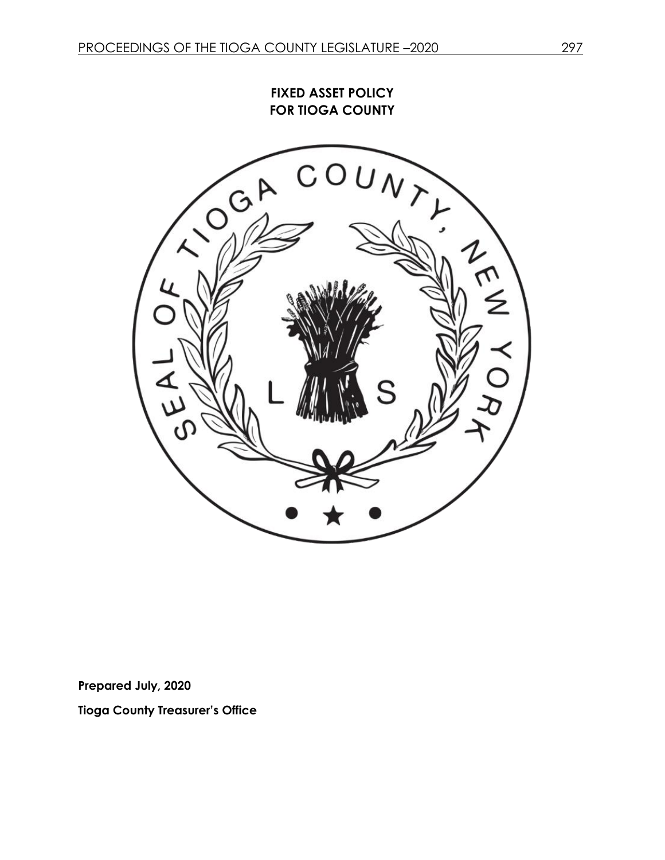**FIXED ASSET POLICY FOR TIOGA COUNTY**



**Prepared July, 2020**

**Tioga County Treasurer's Office**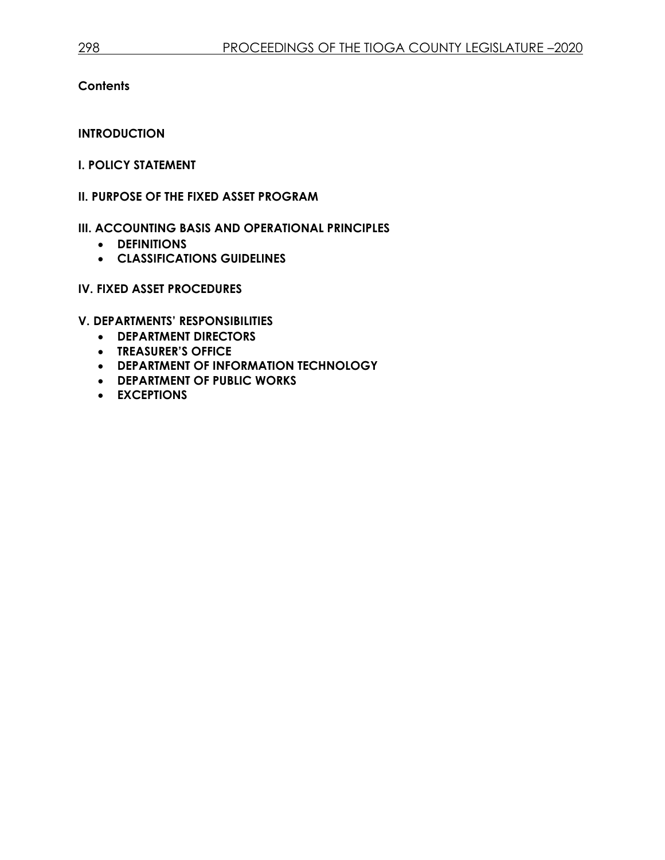**Contents**

**INTRODUCTION**

#### **I. POLICY STATEMENT**

#### **II. PURPOSE OF THE FIXED ASSET PROGRAM**

- **III. ACCOUNTING BASIS AND OPERATIONAL PRINCIPLES**
	- **DEFINITIONS**
	- **CLASSIFICATIONS GUIDELINES**

### **IV. FIXED ASSET PROCEDURES**

**V. DEPARTMENTS' RESPONSIBILITIES**

- **DEPARTMENT DIRECTORS**
- **TREASURER'S OFFICE**
- **DEPARTMENT OF INFORMATION TECHNOLOGY**
- **DEPARTMENT OF PUBLIC WORKS**
- **EXCEPTIONS**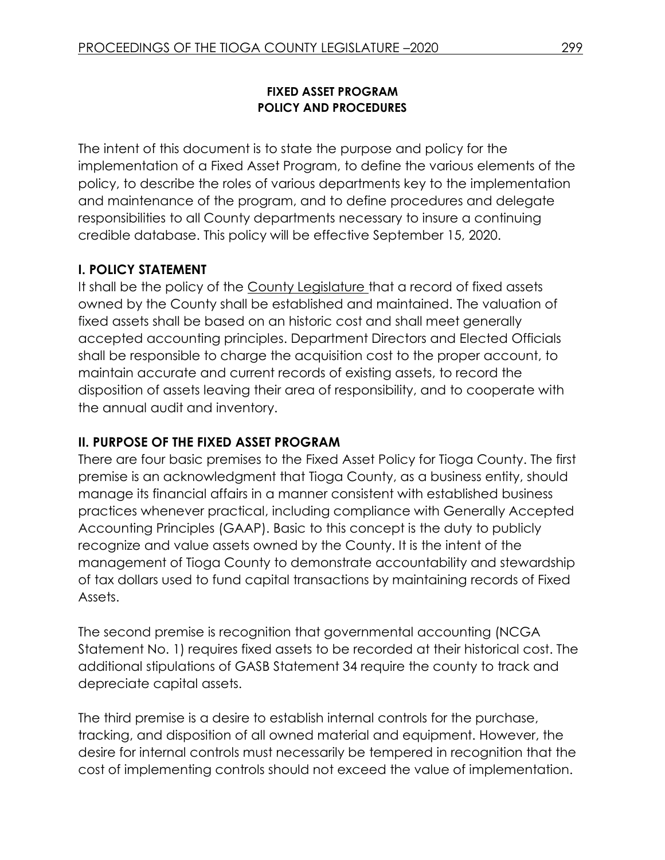### **FIXED ASSET PROGRAM POLICY AND PROCEDURES**

The intent of this document is to state the purpose and policy for the implementation of a Fixed Asset Program, to define the various elements of the policy, to describe the roles of various departments key to the implementation and maintenance of the program, and to define procedures and delegate responsibilities to all County departments necessary to insure a continuing credible database. This policy will be effective September 15, 2020.

### **I. POLICY STATEMENT**

It shall be the policy of the County Legislature that a record of fixed assets owned by the County shall be established and maintained. The valuation of fixed assets shall be based on an historic cost and shall meet generally accepted accounting principles. Department Directors and Elected Officials shall be responsible to charge the acquisition cost to the proper account, to maintain accurate and current records of existing assets, to record the disposition of assets leaving their area of responsibility, and to cooperate with the annual audit and inventory.

#### **II. PURPOSE OF THE FIXED ASSET PROGRAM**

There are four basic premises to the Fixed Asset Policy for Tioga County. The first premise is an acknowledgment that Tioga County, as a business entity, should manage its financial affairs in a manner consistent with established business practices whenever practical, including compliance with Generally Accepted Accounting Principles (GAAP). Basic to this concept is the duty to publicly recognize and value assets owned by the County. It is the intent of the management of Tioga County to demonstrate accountability and stewardship of tax dollars used to fund capital transactions by maintaining records of Fixed Assets.

The second premise is recognition that governmental accounting (NCGA Statement No. 1) requires fixed assets to be recorded at their historical cost. The additional stipulations of GASB Statement 34 require the county to track and depreciate capital assets.

The third premise is a desire to establish internal controls for the purchase, tracking, and disposition of all owned material and equipment. However, the desire for internal controls must necessarily be tempered in recognition that the cost of implementing controls should not exceed the value of implementation.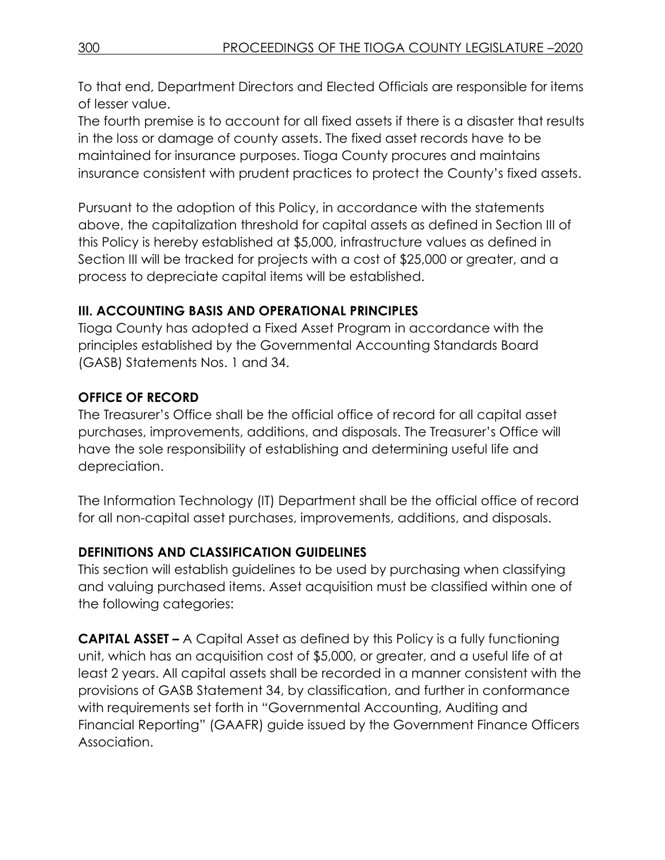To that end, Department Directors and Elected Officials are responsible for items of lesser value.

The fourth premise is to account for all fixed assets if there is a disaster that results in the loss or damage of county assets. The fixed asset records have to be maintained for insurance purposes. Tioga County procures and maintains insurance consistent with prudent practices to protect the County's fixed assets.

Pursuant to the adoption of this Policy, in accordance with the statements above, the capitalization threshold for capital assets as defined in Section III of this Policy is hereby established at \$5,000, infrastructure values as defined in Section III will be tracked for projects with a cost of \$25,000 or greater, and a process to depreciate capital items will be established.

# **III. ACCOUNTING BASIS AND OPERATIONAL PRINCIPLES**

Tioga County has adopted a Fixed Asset Program in accordance with the principles established by the Governmental Accounting Standards Board (GASB) Statements Nos. 1 and 34.

# **OFFICE OF RECORD**

The Treasurer's Office shall be the official office of record for all capital asset purchases, improvements, additions, and disposals. The Treasurer's Office will have the sole responsibility of establishing and determining useful life and depreciation.

The Information Technology (IT) Department shall be the official office of record for all non-capital asset purchases, improvements, additions, and disposals.

# **DEFINITIONS AND CLASSIFICATION GUIDELINES**

This section will establish guidelines to be used by purchasing when classifying and valuing purchased items. Asset acquisition must be classified within one of the following categories:

**CAPITAL ASSET –** A Capital Asset as defined by this Policy is a fully functioning unit, which has an acquisition cost of \$5,000, or greater, and a useful life of at least 2 years. All capital assets shall be recorded in a manner consistent with the provisions of GASB Statement 34, by classification, and further in conformance with requirements set forth in "Governmental Accounting, Auditing and Financial Reporting" (GAAFR) guide issued by the Government Finance Officers Association.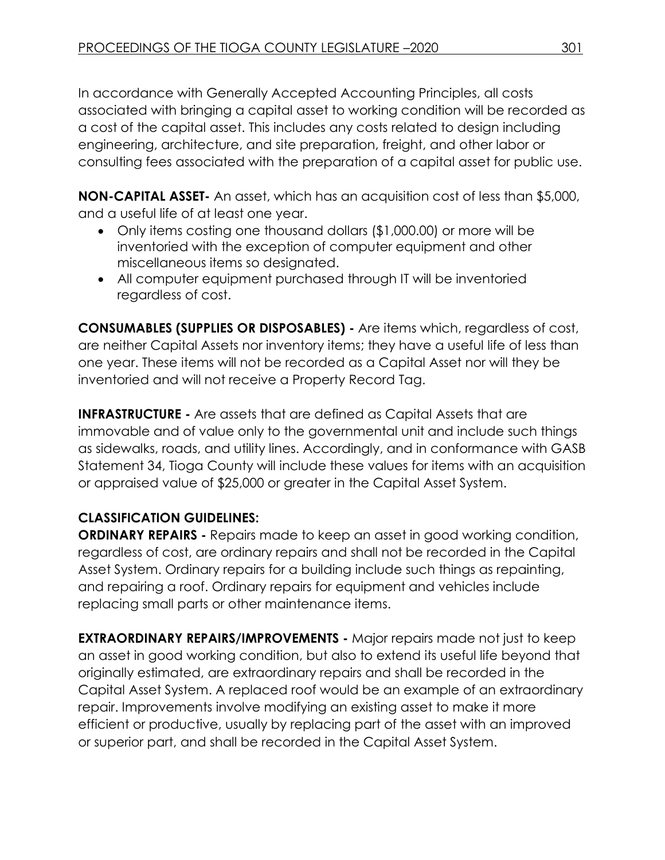In accordance with Generally Accepted Accounting Principles, all costs associated with bringing a capital asset to working condition will be recorded as a cost of the capital asset. This includes any costs related to design including engineering, architecture, and site preparation, freight, and other labor or consulting fees associated with the preparation of a capital asset for public use.

**NON-CAPITAL ASSET-** An asset, which has an acquisition cost of less than \$5,000, and a useful life of at least one year.

- Only items costing one thousand dollars (\$1,000.00) or more will be inventoried with the exception of computer equipment and other miscellaneous items so designated.
- All computer equipment purchased through IT will be inventoried regardless of cost.

**CONSUMABLES (SUPPLIES OR DISPOSABLES) -** Are items which, regardless of cost, are neither Capital Assets nor inventory items; they have a useful life of less than one year. These items will not be recorded as a Capital Asset nor will they be inventoried and will not receive a Property Record Tag.

**INFRASTRUCTURE -** Are assets that are defined as Capital Assets that are immovable and of value only to the governmental unit and include such things as sidewalks, roads, and utility lines. Accordingly, and in conformance with GASB Statement 34, Tioga County will include these values for items with an acquisition or appraised value of \$25,000 or greater in the Capital Asset System.

# **CLASSIFICATION GUIDELINES:**

**ORDINARY REPAIRS -** Repairs made to keep an asset in good working condition, regardless of cost, are ordinary repairs and shall not be recorded in the Capital Asset System. Ordinary repairs for a building include such things as repainting, and repairing a roof. Ordinary repairs for equipment and vehicles include replacing small parts or other maintenance items.

**EXTRAORDINARY REPAIRS/IMPROVEMENTS -** Major repairs made not just to keep an asset in good working condition, but also to extend its useful life beyond that originally estimated, are extraordinary repairs and shall be recorded in the Capital Asset System. A replaced roof would be an example of an extraordinary repair. Improvements involve modifying an existing asset to make it more efficient or productive, usually by replacing part of the asset with an improved or superior part, and shall be recorded in the Capital Asset System.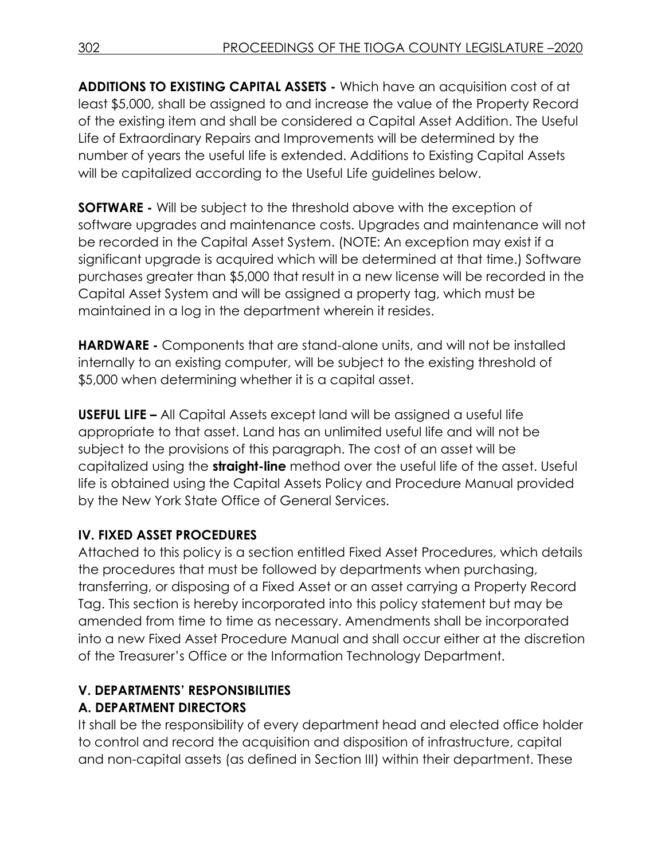**ADDITIONS TO EXISTING CAPITAL ASSETS -** Which have an acquisition cost of at least \$5,000, shall be assigned to and increase the value of the Property Record of the existing item and shall be considered a Capital Asset Addition. The Useful Life of Extraordinary Repairs and Improvements will be determined by the number of years the useful life is extended. Additions to Existing Capital Assets will be capitalized according to the Useful Life guidelines below.

**SOFTWARE -** Will be subject to the threshold above with the exception of software upgrades and maintenance costs. Upgrades and maintenance will not be recorded in the Capital Asset System. (NOTE: An exception may exist if a significant upgrade is acquired which will be determined at that time.) Software purchases greater than \$5,000 that result in a new license will be recorded in the Capital Asset System and will be assigned a property tag, which must be maintained in a log in the department wherein it resides.

**HARDWARE -** Components that are stand-alone units, and will not be installed internally to an existing computer, will be subject to the existing threshold of \$5,000 when determining whether it is a capital asset.

**USEFUL LIFE –** All Capital Assets except land will be assigned a useful life appropriate to that asset. Land has an unlimited useful life and will not be subject to the provisions of this paragraph. The cost of an asset will be capitalized using the **straight-line** method over the useful life of the asset. Useful life is obtained using the Capital Assets Policy and Procedure Manual provided by the New York State Office of General Services.

# **IV. FIXED ASSET PROCEDURES**

Attached to this policy is a section entitled Fixed Asset Procedures, which details the procedures that must be followed by departments when purchasing, transferring, or disposing of a Fixed Asset or an asset carrying a Property Record Tag. This section is hereby incorporated into this policy statement but may be amended from time to time as necessary. Amendments shall be incorporated into a new Fixed Asset Procedure Manual and shall occur either at the discretion of the Treasurer's Office or the Information Technology Department.

# **V. DEPARTMENTS' RESPONSIBILITIES**

# **A. DEPARTMENT DIRECTORS**

It shall be the responsibility of every department head and elected office holder to control and record the acquisition and disposition of infrastructure, capital and non-capital assets (as defined in Section III) within their department. These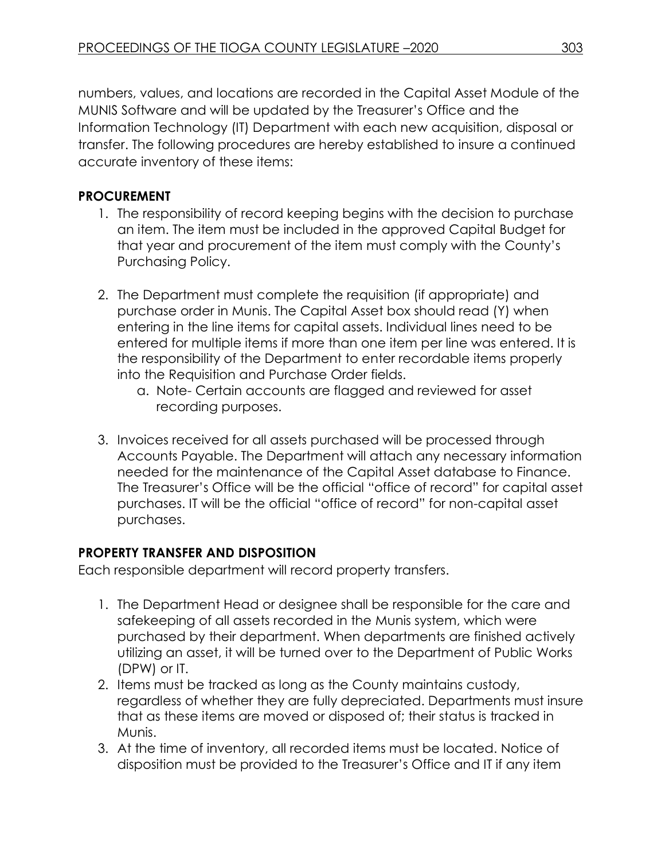numbers, values, and locations are recorded in the Capital Asset Module of the MUNIS Software and will be updated by the Treasurer's Office and the Information Technology (IT) Department with each new acquisition, disposal or transfer. The following procedures are hereby established to insure a continued accurate inventory of these items:

# **PROCUREMENT**

- 1. The responsibility of record keeping begins with the decision to purchase an item. The item must be included in the approved Capital Budget for that year and procurement of the item must comply with the County's Purchasing Policy.
- 2. The Department must complete the requisition (if appropriate) and purchase order in Munis. The Capital Asset box should read (Y) when entering in the line items for capital assets. Individual lines need to be entered for multiple items if more than one item per line was entered. It is the responsibility of the Department to enter recordable items properly into the Requisition and Purchase Order fields.
	- a. Note- Certain accounts are flagged and reviewed for asset recording purposes.
- 3. Invoices received for all assets purchased will be processed through Accounts Payable. The Department will attach any necessary information needed for the maintenance of the Capital Asset database to Finance. The Treasurer's Office will be the official "office of record" for capital asset purchases. IT will be the official "office of record" for non-capital asset purchases.

### **PROPERTY TRANSFER AND DISPOSITION**

Each responsible department will record property transfers.

- 1. The Department Head or designee shall be responsible for the care and safekeeping of all assets recorded in the Munis system, which were purchased by their department. When departments are finished actively utilizing an asset, it will be turned over to the Department of Public Works (DPW) or IT.
- 2. Items must be tracked as long as the County maintains custody, regardless of whether they are fully depreciated. Departments must insure that as these items are moved or disposed of; their status is tracked in Munis.
- 3. At the time of inventory, all recorded items must be located. Notice of disposition must be provided to the Treasurer's Office and IT if any item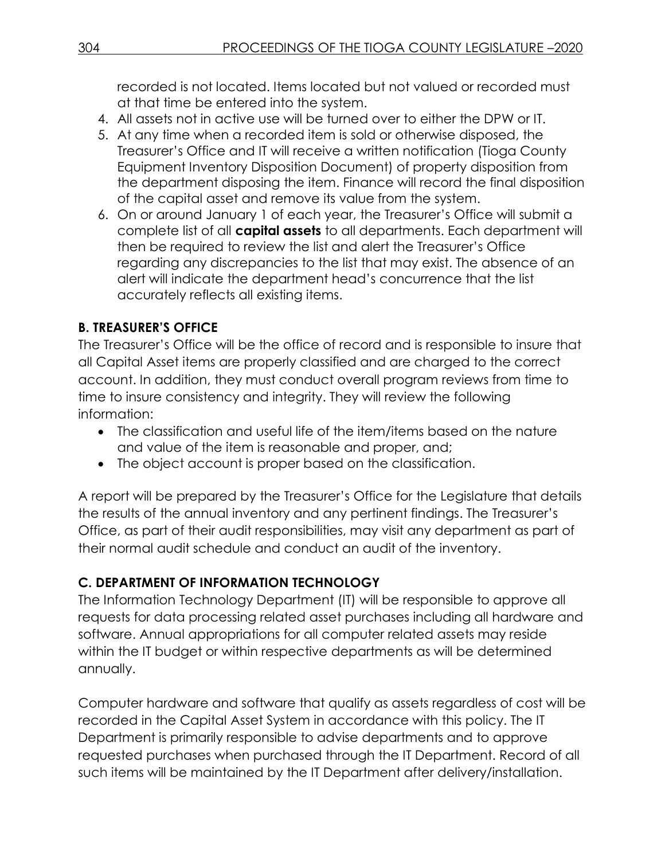recorded is not located. Items located but not valued or recorded must at that time be entered into the system.

- 4. All assets not in active use will be turned over to either the DPW or IT.
- 5. At any time when a recorded item is sold or otherwise disposed, the Treasurer's Office and IT will receive a written notification (Tioga County Equipment Inventory Disposition Document) of property disposition from the department disposing the item. Finance will record the final disposition of the capital asset and remove its value from the system.
- 6. On or around January 1 of each year, the Treasurer's Office will submit a complete list of all **capital assets** to all departments. Each department will then be required to review the list and alert the Treasurer's Office regarding any discrepancies to the list that may exist. The absence of an alert will indicate the department head's concurrence that the list accurately reflects all existing items.

### **B. TREASURER'S OFFICE**

The Treasurer's Office will be the office of record and is responsible to insure that all Capital Asset items are properly classified and are charged to the correct account. In addition, they must conduct overall program reviews from time to time to insure consistency and integrity. They will review the following information:

- The classification and useful life of the item/items based on the nature and value of the item is reasonable and proper, and;
- The object account is proper based on the classification.

A report will be prepared by the Treasurer's Office for the Legislature that details the results of the annual inventory and any pertinent findings. The Treasurer's Office, as part of their audit responsibilities, may visit any department as part of their normal audit schedule and conduct an audit of the inventory.

### **C. DEPARTMENT OF INFORMATION TECHNOLOGY**

The Information Technology Department (IT) will be responsible to approve all requests for data processing related asset purchases including all hardware and software. Annual appropriations for all computer related assets may reside within the IT budget or within respective departments as will be determined annually.

Computer hardware and software that qualify as assets regardless of cost will be recorded in the Capital Asset System in accordance with this policy. The IT Department is primarily responsible to advise departments and to approve requested purchases when purchased through the IT Department. Record of all such items will be maintained by the IT Department after delivery/installation.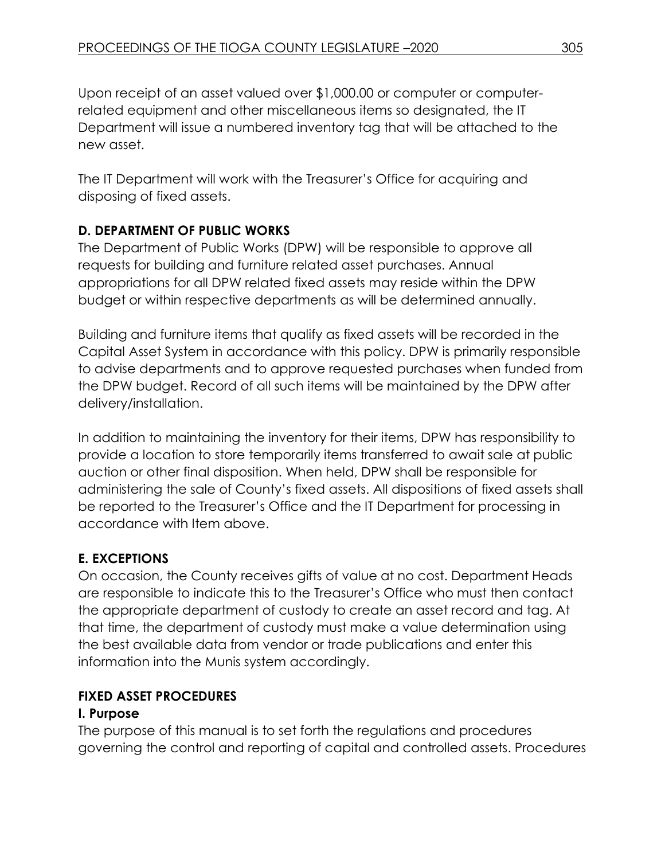Upon receipt of an asset valued over \$1,000.00 or computer or computerrelated equipment and other miscellaneous items so designated, the IT Department will issue a numbered inventory tag that will be attached to the new asset.

The IT Department will work with the Treasurer's Office for acquiring and disposing of fixed assets.

# **D. DEPARTMENT OF PUBLIC WORKS**

The Department of Public Works (DPW) will be responsible to approve all requests for building and furniture related asset purchases. Annual appropriations for all DPW related fixed assets may reside within the DPW budget or within respective departments as will be determined annually.

Building and furniture items that qualify as fixed assets will be recorded in the Capital Asset System in accordance with this policy. DPW is primarily responsible to advise departments and to approve requested purchases when funded from the DPW budget. Record of all such items will be maintained by the DPW after delivery/installation.

In addition to maintaining the inventory for their items, DPW has responsibility to provide a location to store temporarily items transferred to await sale at public auction or other final disposition. When held, DPW shall be responsible for administering the sale of County's fixed assets. All dispositions of fixed assets shall be reported to the Treasurer's Office and the IT Department for processing in accordance with Item above.

# **E. EXCEPTIONS**

On occasion, the County receives gifts of value at no cost. Department Heads are responsible to indicate this to the Treasurer's Office who must then contact the appropriate department of custody to create an asset record and tag. At that time, the department of custody must make a value determination using the best available data from vendor or trade publications and enter this information into the Munis system accordingly.

# **FIXED ASSET PROCEDURES**

# **I. Purpose**

The purpose of this manual is to set forth the regulations and procedures governing the control and reporting of capital and controlled assets. Procedures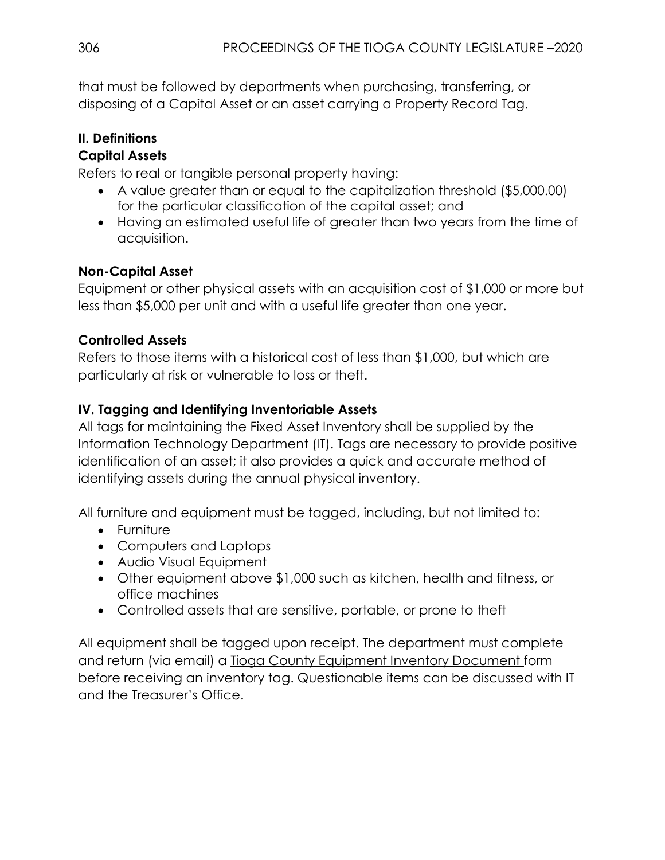that must be followed by departments when purchasing, transferring, or disposing of a Capital Asset or an asset carrying a Property Record Tag.

# **II. Definitions**

# **Capital Assets**

Refers to real or tangible personal property having:

- A value greater than or equal to the capitalization threshold (\$5,000.00) for the particular classification of the capital asset; and
- Having an estimated useful life of greater than two years from the time of acquisition.

# **Non-Capital Asset**

Equipment or other physical assets with an acquisition cost of \$1,000 or more but less than \$5,000 per unit and with a useful life greater than one year.

# **Controlled Assets**

Refers to those items with a historical cost of less than \$1,000, but which are particularly at risk or vulnerable to loss or theft.

# **IV. Tagging and Identifying Inventoriable Assets**

All tags for maintaining the Fixed Asset Inventory shall be supplied by the Information Technology Department (IT). Tags are necessary to provide positive identification of an asset; it also provides a quick and accurate method of identifying assets during the annual physical inventory.

All furniture and equipment must be tagged, including, but not limited to:

- Furniture
- Computers and Laptops
- Audio Visual Equipment
- Other equipment above \$1,000 such as kitchen, health and fitness, or office machines
- Controlled assets that are sensitive, portable, or prone to theft

All equipment shall be tagged upon receipt. The department must complete and return (via email) a Tioga County Equipment Inventory Document form before receiving an inventory tag. Questionable items can be discussed with IT and the Treasurer's Office.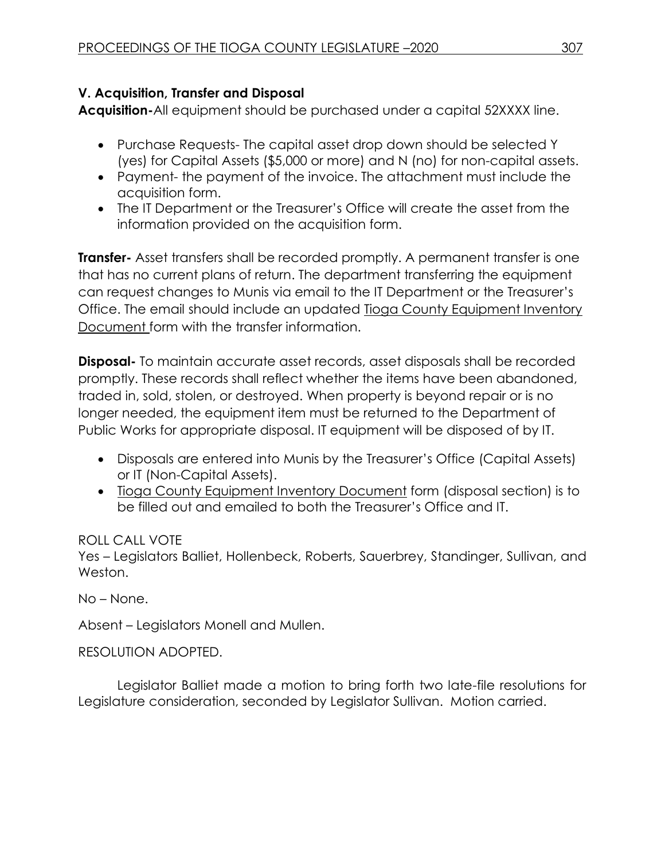# **V. Acquisition, Transfer and Disposal**

**Acquisition-**All equipment should be purchased under a capital 52XXXX line.

- Purchase Requests- The capital asset drop down should be selected Y (yes) for Capital Assets (\$5,000 or more) and N (no) for non-capital assets.
- Payment- the payment of the invoice. The attachment must include the acquisition form.
- The IT Department or the Treasurer's Office will create the asset from the information provided on the acquisition form.

**Transfer-** Asset transfers shall be recorded promptly. A permanent transfer is one that has no current plans of return. The department transferring the equipment can request changes to Munis via email to the IT Department or the Treasurer's Office. The email should include an updated Tioga County Equipment Inventory Document form with the transfer information.

**Disposal-** To maintain accurate asset records, asset disposals shall be recorded promptly. These records shall reflect whether the items have been abandoned, traded in, sold, stolen, or destroyed. When property is beyond repair or is no longer needed, the equipment item must be returned to the Department of Public Works for appropriate disposal. IT equipment will be disposed of by IT.

- Disposals are entered into Munis by the Treasurer's Office (Capital Assets) or IT (Non-Capital Assets).
- Tioga County Equipment Inventory Document form (disposal section) is to be filled out and emailed to both the Treasurer's Office and IT.

### ROLL CALL VOTE

Yes – Legislators Balliet, Hollenbeck, Roberts, Sauerbrey, Standinger, Sullivan, and Weston.

No – None.

Absent – Legislators Monell and Mullen.

RESOLUTION ADOPTED.

Legislator Balliet made a motion to bring forth two late-file resolutions for Legislature consideration, seconded by Legislator Sullivan. Motion carried.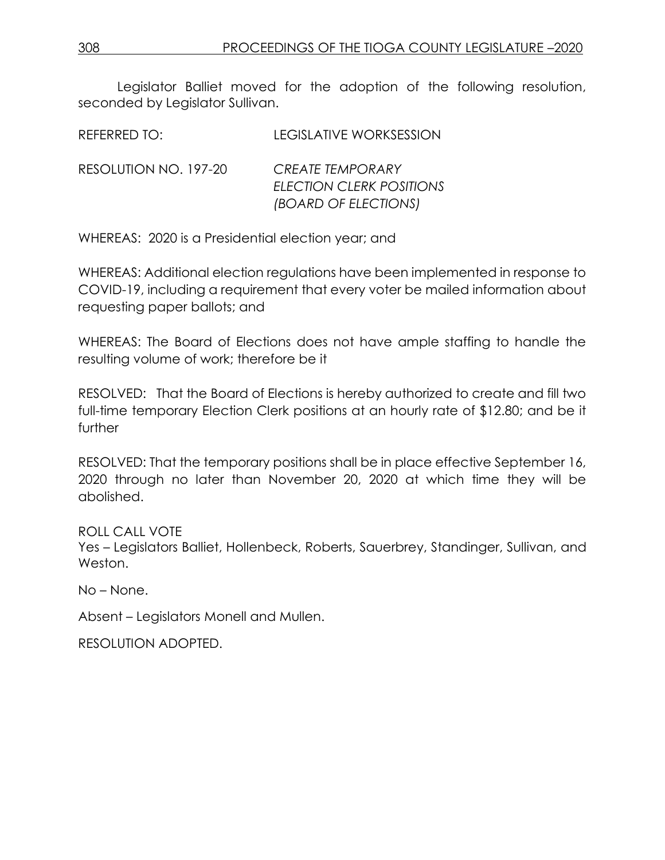Legislator Balliet moved for the adoption of the following resolution, seconded by Legislator Sullivan.

| REFERRED TO:          | <b>LEGISLATIVE WORKSESSION</b>                                              |
|-----------------------|-----------------------------------------------------------------------------|
| RESOLUTION NO. 197-20 | <b>CREATE TEMPORARY</b><br>ELECTION CLERK POSITIONS<br>(BOARD OF ELECTIONS) |

WHEREAS: 2020 is a Presidential election year; and

WHEREAS: Additional election regulations have been implemented in response to COVID-19, including a requirement that every voter be mailed information about requesting paper ballots; and

WHEREAS: The Board of Elections does not have ample staffing to handle the resulting volume of work; therefore be it

RESOLVED: That the Board of Elections is hereby authorized to create and fill two full-time temporary Election Clerk positions at an hourly rate of \$12.80; and be it further

RESOLVED: That the temporary positions shall be in place effective September 16, 2020 through no later than November 20, 2020 at which time they will be abolished.

ROLL CALL VOTE

Yes – Legislators Balliet, Hollenbeck, Roberts, Sauerbrey, Standinger, Sullivan, and Weston.

No – None.

Absent – Legislators Monell and Mullen.

RESOLUTION ADOPTED.